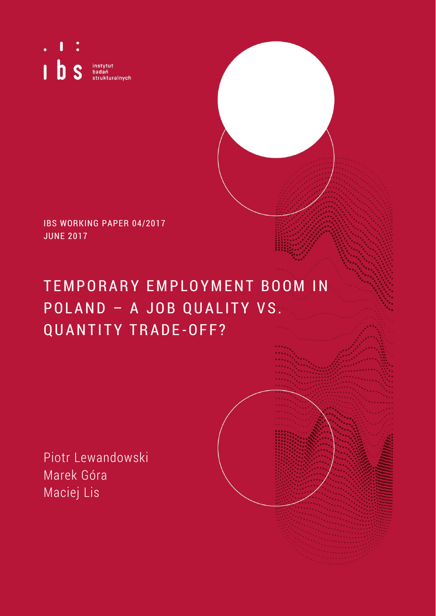$\mathbf{I}$ I b s instytut<br>badań<br>strukturalnych

IBS WORKING PAPER 04/2017 JUNE 2017

# TEMPORARY EMPLOYMENT BOOM IN P O L A N D - A J O B Q U A L I T Y V S. QUANTITY TRADE-OFF?

Piotr Lewandowski Marek Góra Maciej Lis

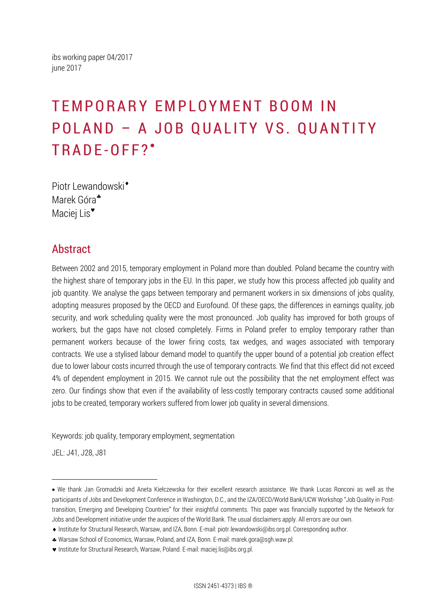ibs working paper 04/2017 june 2017

# TEMPORARY EMPLOYMENT BOOM IN POLAND - A JOB QUALITY VS. QUANTITY TRADE-OFF?'

Piotr Lewandowski<sup>\*</sup> Marek Góra<sup>\*</sup> Maciej Lis<sup>\*</sup>

## Abstract

Between 2002 and 2015, temporary employment in Poland more than doubled. Poland became the country with the highest share of temporary jobs in the EU. In this paper, we study how this process affected job quality and job quantity. We analyse the gaps between temporary and permanent workers in six dimensions of jobs quality, adopting measures proposed by the OECD and Eurofound. Of these gaps, the differences in earnings quality, job security, and work scheduling quality were the most pronounced. Job quality has improved for both groups of workers, but the gaps have not closed completely. Firms in Poland prefer to employ temporary rather than permanent workers because of the lower firing costs, tax wedges, and wages associated with temporary contracts. We use a stylised labour demand model to quantify the upper bound of a potential job creation effect due to lower labour costs incurred through the use of temporary contracts. We find that this effect did not exceed 4% of dependent employment in 2015. We cannot rule out the possibility that the net employment effect was zero. Our findings show that even if the availability of less-costly temporary contracts caused some additional jobs to be created, temporary workers suffered from lower job quality in several dimensions.

Keywords: job quality, temporary employment, segmentation

JEL: J41, J28, J81

 $\overline{a}$ 

We thank Jan Gromadzki and Aneta Kiełczewska for their excellent research assistance. We thank Lucas Ronconi as well as the participants of Jobs and Development Conference in Washington, D.C., and the IZA/OECD/World Bank/UCW Workshop "Job Quality in Posttransition, Emerging and Developing Countries" for their insightful comments. This paper was financially supported by the Network for Jobs and Development initiative under the auspices of the World Bank. The usual disclaimers apply. All errors are our own.

Institute for Structural Research, Warsaw, and IZA, Bonn. E-mail: piotr.lewandowski@ibs.org.pl. Corresponding author.

Warsaw School of Economics, Warsaw, Poland, and IZA, Bonn. E-mail: marek.gora@sgh.waw.pl.

Institute for Structural Research, Warsaw, Poland. E-mail: maciej.lis@ibs.org.pl.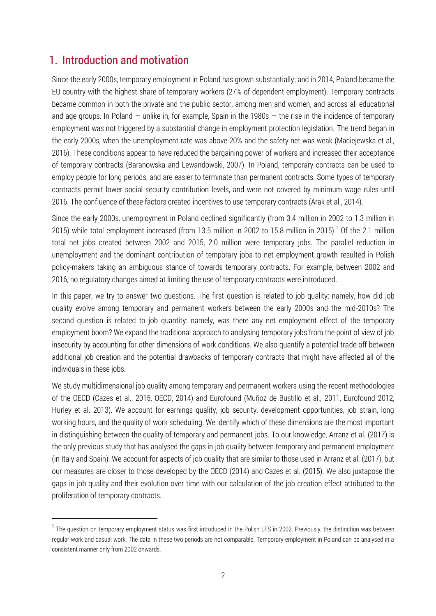## 1. Introduction and motivation

 $\overline{a}$ 

Since the early 2000s, temporary employment in Poland has grown substantially; and in 2014, Poland became the EU country with the highest share of temporary workers (27% of dependent employment). Temporary contracts became common in both the private and the public sector, among men and women, and across all educational and age groups. In Poland  $-$  unlike in, for example, Spain in the 1980s  $-$  the rise in the incidence of temporary employment was not triggered by a substantial change in employment protection legislation. The trend began in the early 2000s, when the unemployment rate was above 20% and the safety net was weak (Maciejewska et al., 2016). These conditions appear to have reduced the bargaining power of workers and increased their acceptance of temporary contracts (Baranowska and Lewandowski, 2007). In Poland, temporary contracts can be used to employ people for long periods, and are easier to terminate than permanent contracts. Some types of temporary contracts permit lower social security contribution levels, and were not covered by minimum wage rules until 2016. The confluence of these factors created incentives to use temporary contracts (Arak et al., 2014).

Since the early 2000s, unemployment in Poland declined significantly (from 3.4 million in 2002 to 1.3 million in 2015) while total employment increased (from 13.5 million in 2002 to 15.8 million in 2015).<sup>1</sup> Of the 2.1 million total net jobs created between 2002 and 2015, 2.0 million were temporary jobs. The parallel reduction in unemployment and the dominant contribution of temporary jobs to net employment growth resulted in Polish policy-makers taking an ambiguous stance of towards temporary contracts. For example, between 2002 and 2016, no regulatory changes aimed at limiting the use of temporary contracts were introduced.

In this paper, we try to answer two questions. The first question is related to job quality: namely, how did job quality evolve among temporary and permanent workers between the early 2000s and the mid-2010s? The second question is related to job quantity: namely, was there any net employment effect of the temporary employment boom? We expand the traditional approach to analysing temporary jobs from the point of view of job insecurity by accounting for other dimensions of work conditions. We also quantify a potential trade-off between additional job creation and the potential drawbacks of temporary contracts that might have affected all of the individuals in these jobs.

We study multidimensional job quality among temporary and permanent workers using the recent methodologies of the OECD (Cazes et al., 2015, OECD, 2014) and Eurofound (Muñoz de Bustillo et al., 2011, Eurofound 2012, Hurley et al. 2013). We account for earnings quality, job security, development opportunities, job strain, long working hours, and the quality of work scheduling. We identify which of these dimensions are the most important in distinguishing between the quality of temporary and permanent jobs. To our knowledge, Arranz et al. (2017) is the only previous study that has analysed the gaps in job quality between temporary and permanent employment (in Italy and Spain). We account for aspects of job quality that are similar to those used in Arranz et al. (2017), but our measures are closer to those developed by the OECD (2014) and Cazes et al. (2015). We also juxtapose the gaps in job quality and their evolution over time with our calculation of the job creation effect attributed to the proliferation of temporary contracts.

<sup>&</sup>lt;sup>1</sup> The question on temporary employment status was first introduced in the Polish LFS in 2002. Previously, the distinction was between regular work and casual work. The data in these two periods are not comparable. Temporary employment in Poland can be analysed in a consistent manner only from 2002 onwards.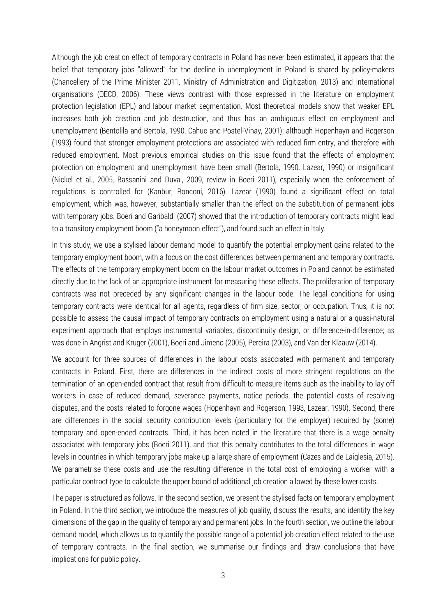Although the job creation effect of temporary contracts in Poland has never been estimated, it appears that the belief that temporary jobs "allowed" for the decline in unemployment in Poland is shared by policy-makers (Chancellery of the Prime Minister 2011, Ministry of Administration and Digitization, 2013) and international organisations (OECD, 2006). These views contrast with those expressed in the literature on employment protection legislation (EPL) and labour market segmentation. Most theoretical models show that weaker EPL increases both job creation and job destruction, and thus has an ambiguous effect on employment and unemployment (Bentolila and Bertola, 1990, Cahuc and Postel-Vinay, 2001); although Hopenhayn and Rogerson (1993) found that stronger employment protections are associated with reduced firm entry, and therefore with reduced employment. Most previous empirical studies on this issue found that the effects of employment protection on employment and unemployment have been small (Bertola, 1990, Lazear, 1990) or insignificant (Nickel et al., 2005, Bassanini and Duval, 2009, review in Boeri 2011), especially when the enforcement of regulations is controlled for (Kanbur, Ronconi, 2016). Lazear (1990) found a significant effect on total employment, which was, however, substantially smaller than the effect on the substitution of permanent jobs with temporary jobs. Boeri and Garibaldi (2007) showed that the introduction of temporary contracts might lead to a transitory employment boom ("a honeymoon effect"), and found such an effect in Italy.

In this study, we use a stylised labour demand model to quantify the potential employment gains related to the temporary employment boom, with a focus on the cost differences between permanent and temporary contracts. The effects of the temporary employment boom on the labour market outcomes in Poland cannot be estimated directly due to the lack of an appropriate instrument for measuring these effects. The proliferation of temporary contracts was not preceded by any significant changes in the labour code. The legal conditions for using temporary contracts were identical for all agents, regardless of firm size, sector, or occupation. Thus, it is not possible to assess the causal impact of temporary contracts on employment using a natural or a quasi-natural experiment approach that employs instrumental variables, discontinuity design, or difference-in-difference; as was done in Angrist and Kruger (2001), Boeri and Jimeno (2005), Pereira (2003), and Van der Klaauw (2014).

We account for three sources of differences in the labour costs associated with permanent and temporary contracts in Poland. First, there are differences in the indirect costs of more stringent regulations on the termination of an open-ended contract that result from difficult-to-measure items such as the inability to lay off workers in case of reduced demand, severance payments, notice periods, the potential costs of resolving disputes, and the costs related to forgone wages (Hopenhayn and Rogerson, 1993, Lazear, 1990). Second, there are differences in the social security contribution levels (particularly for the employer) required by (some) temporary and open-ended contracts. Third, it has been noted in the literature that there is a wage penalty associated with temporary jobs (Boeri 2011), and that this penalty contributes to the total differences in wage levels in countries in which temporary jobs make up a large share of employment (Cazes and de Laiglesia, 2015). We parametrise these costs and use the resulting difference in the total cost of employing a worker with a particular contract type to calculate the upper bound of additional job creation allowed by these lower costs.

The paper is structured as follows. In the second section, we present the stylised facts on temporary employment in Poland. In the third section, we introduce the measures of job quality, discuss the results, and identify the key dimensions of the gap in the quality of temporary and permanent jobs. In the fourth section, we outline the labour demand model, which allows us to quantify the possible range of a potential job creation effect related to the use of temporary contracts. In the final section, we summarise our findings and draw conclusions that have implications for public policy.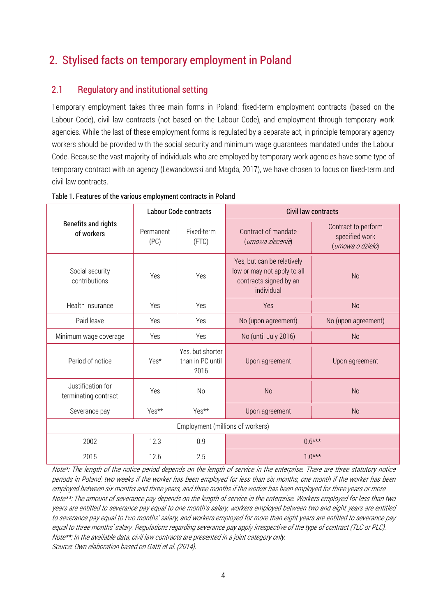# 2. Stylised facts on temporary employment in Poland

## 2.1 Regulatory and institutional setting

Temporary employment takes three main forms in Poland: fixed-term employment contracts (based on the Labour Code), civil law contracts (not based on the Labour Code), and employment through temporary work agencies. While the last of these employment forms is regulated by a separate act, in principle temporary agency workers should be provided with the social security and minimum wage guarantees mandated under the Labour Code. Because the vast majority of individuals who are employed by temporary work agencies have some type of temporary contract with an agency (Lewandowski and Magda, 2017), we have chosen to focus on fixed-term and civil law contracts.

|                                           |                         | <b>Labour Code contracts</b>                 | <b>Civil law contracts</b>                                                                        |                                                           |  |  |  |  |
|-------------------------------------------|-------------------------|----------------------------------------------|---------------------------------------------------------------------------------------------------|-----------------------------------------------------------|--|--|--|--|
| <b>Benefits and rights</b><br>of workers  | Permanent<br>(PC)       | Fixed-term<br>(FTC)                          | Contract of mandate<br>(umowa zlecenie)                                                           | Contract to perform<br>specified work<br>(umowa o dzieło) |  |  |  |  |
| Social security<br>contributions          | Yes                     | Yes                                          | Yes, but can be relatively<br>low or may not apply to all<br>contracts signed by an<br>individual | <b>No</b>                                                 |  |  |  |  |
| Health insurance                          | Yes                     | Yes                                          | Yes                                                                                               | <b>No</b>                                                 |  |  |  |  |
| Paid leave                                | Yes                     | Yes                                          | No (upon agreement)                                                                               | No (upon agreement)                                       |  |  |  |  |
| Minimum wage coverage                     | Yes                     | Yes                                          | No (until July 2016)                                                                              | <b>No</b>                                                 |  |  |  |  |
| Period of notice                          | Yes*                    | Yes, but shorter<br>than in PC until<br>2016 | Upon agreement                                                                                    | Upon agreement                                            |  |  |  |  |
| Justification for<br>terminating contract | Yes                     | N <sub>0</sub>                               | <b>No</b>                                                                                         | <b>No</b>                                                 |  |  |  |  |
| Severance pay                             | Yes**<br>Yes**          |                                              | Upon agreement<br><b>No</b>                                                                       |                                                           |  |  |  |  |
|                                           |                         | Employment (millions of workers)             |                                                                                                   |                                                           |  |  |  |  |
| 2002                                      | 0.9<br>$0.6***$<br>12.3 |                                              |                                                                                                   |                                                           |  |  |  |  |
| 2015                                      | 12.6                    | 2.5                                          |                                                                                                   | $1.0***$                                                  |  |  |  |  |

Table 1. Features of the various employment contracts in Poland

Note\*: The length of the notice period depends on the length of service in the enterprise. There are three statutory notice periods in Poland: two weeks if the worker has been employed for less than six months, one month if the worker has been employed between six months and three years, and three months if the worker has been employed for three years or more. Note\*\*: The amount of severance pay depends on the length of service in the enterprise. Workers employed for less than two years are entitled to severance pay equal to one month's salary, workers employed between two and eight years are entitled to severance pay equal to two months' salary, and workers employed for more than eight years are entitled to severance pay equal to three months' salary. Regulations regarding severance pay apply irrespective of the type of contract (TLC or PLC). Note\*\*: In the available data, civil law contracts are presented in a joint category only. Source: Own elaboration based on Gatti et al. (2014).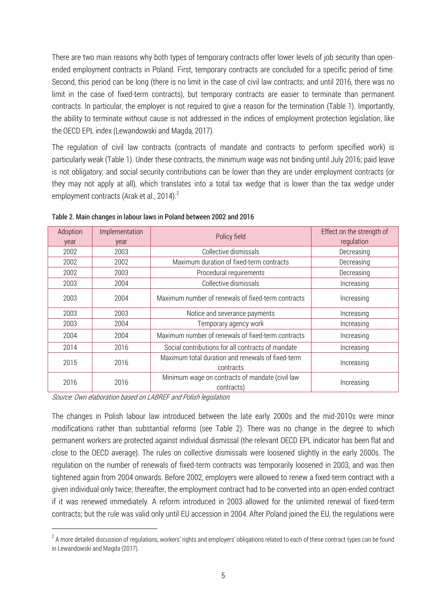There are two main reasons why both types of temporary contracts offer lower levels of job security than openended employment contracts in Poland. First, temporary contracts are concluded for a specific period of time. Second, this period can be long (there is no limit in the case of civil law contracts; and until 2016, there was no limit in the case of fixed-term contracts), but temporary contracts are easier to terminate than permanent contracts. In particular, the employer is not required to give a reason for the termination (Table 1). Importantly, the ability to terminate without cause is not addressed in the indices of employment protection legislation, like the OECD EPL index (Lewandowski and Magda, 2017).

The regulation of civil law contracts (contracts of mandate and contracts to perform specified work) is particularly weak (Table 1). Under these contracts, the minimum wage was not binding until July 2016; paid leave is not obligatory; and social security contributions can be lower than they are under employment contracts (or they may not apply at all), which translates into a total tax wedge that is lower than the tax wedge under employment contracts (Arak et al., 2014).<sup>2</sup>

| Adoption<br>year | Implementation<br>vear | Policy field                                                   | Effect on the strength of<br>regulation |
|------------------|------------------------|----------------------------------------------------------------|-----------------------------------------|
| 2002             | 2003                   | Collective dismissals                                          | Decreasing                              |
| 2002             | 2002                   | Maximum duration of fixed-term contracts                       | Decreasing                              |
| 2002             | 2003                   | Procedural requirements                                        | Decreasing                              |
| 2003             | 2004                   | Collective dismissals                                          | Increasing                              |
| 2003             | 2004                   | Maximum number of renewals of fixed-term contracts             | Increasing                              |
| 2003             | 2003                   | Notice and severance payments                                  | Increasing                              |
| 2003             | 2004                   | Temporary agency work                                          | Increasing                              |
| 2004             | 2004                   | Maximum number of renewals of fixed-term contracts             | Increasing                              |
| 2014             | 2016                   | Social contributions for all contracts of mandate              | Increasing                              |
| 2015             | 2016                   | Maximum total duration and renewals of fixed-term<br>contracts | Increasing                              |
| 2016             | 2016                   | Minimum wage on contracts of mandate (civil law<br>contracts)  | Increasing                              |

Table 2. Main changes in labour laws in Poland between 2002 and 2016

Source: Own elaboration based on LABREF and Polish legislation.

 $\overline{a}$ 

The changes in Polish labour law introduced between the late early 2000s and the mid-2010s were minor modifications rather than substantial reforms (see Table 2). There was no change in the degree to which permanent workers are protected against individual dismissal (the relevant OECD EPL indicator has been flat and close to the OECD average). The rules on collective dismissals were loosened slightly in the early 2000s. The regulation on the number of renewals of fixed-term contracts was temporarily loosened in 2003, and was then tightened again from 2004 onwards. Before 2002, employers were allowed to renew a fixed-term contract with a given individual only twice; thereafter, the employment contract had to be converted into an open-ended contract if it was renewed immediately. A reform introduced in 2003 allowed for the unlimited renewal of fixed-term contracts; but the rule was valid only until EU accession in 2004. After Poland joined the EU, the regulations were

 $^2$  A more detailed discussion of regulations, workers' rights and employers' obligations related to each of these contract types can be found in Lewandowski and Magda (2017).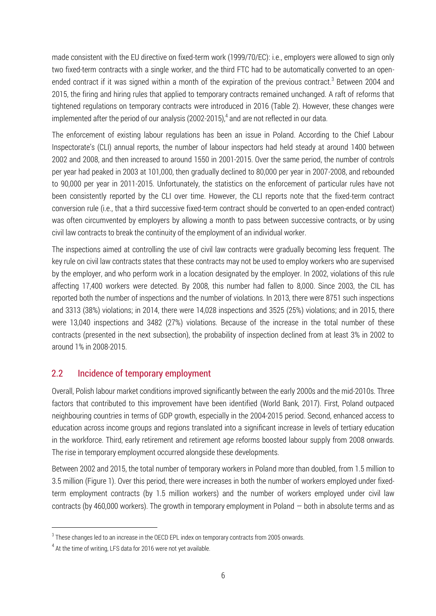made consistent with the EU directive on fixed-term work (1999/70/EC): i.e., employers were allowed to sign only two fixed-term contracts with a single worker, and the third FTC had to be automatically converted to an openended contract if it was signed within a month of the expiration of the previous contract.<sup>3</sup> Between 2004 and 2015, the firing and hiring rules that applied to temporary contracts remained unchanged. A raft of reforms that tightened regulations on temporary contracts were introduced in 2016 (Table 2). However, these changes were implemented after the period of our analysis (2002-2015), 4 and are not reflected in our data.

The enforcement of existing labour regulations has been an issue in Poland. According to the Chief Labour Inspectorate's (CLI) annual reports, the number of labour inspectors had held steady at around 1400 between 2002 and 2008, and then increased to around 1550 in 2001-2015. Over the same period, the number of controls per year had peaked in 2003 at 101,000, then gradually declined to 80,000 per year in 2007-2008, and rebounded to 90,000 per year in 2011-2015. Unfortunately, the statistics on the enforcement of particular rules have not been consistently reported by the CLI over time. However, the CLI reports note that the fixed-term contract conversion rule (i.e., that a third successive fixed-term contract should be converted to an open-ended contract) was often circumvented by employers by allowing a month to pass between successive contracts, or by using civil law contracts to break the continuity of the employment of an individual worker.

The inspections aimed at controlling the use of civil law contracts were gradually becoming less frequent. The key rule on civil law contracts states that these contracts may not be used to employ workers who are supervised by the employer, and who perform work in a location designated by the employer. In 2002, violations of this rule affecting 17,400 workers were detected. By 2008, this number had fallen to 8,000. Since 2003, the CIL has reported both the number of inspections and the number of violations. In 2013, there were 8751 such inspections and 3313 (38%) violations; in 2014, there were 14,028 inspections and 3525 (25%) violations; and in 2015, there were 13,040 inspections and 3482 (27%) violations. Because of the increase in the total number of these contracts (presented in the next subsection), the probability of inspection declined from at least 3% in 2002 to around 1% in 2008-2015.

## 2.2 Incidence of temporary employment

Overall, Polish labour market conditions improved significantly between the early 2000s and the mid-2010s. Three factors that contributed to this improvement have been identified (World Bank, 2017). First, Poland outpaced neighbouring countries in terms of GDP growth, especially in the 2004-2015 period. Second, enhanced access to education across income groups and regions translated into a significant increase in levels of tertiary education in the workforce. Third, early retirement and retirement age reforms boosted labour supply from 2008 onwards. The rise in temporary employment occurred alongside these developments.

Between 2002 and 2015, the total number of temporary workers in Poland more than doubled, from 1.5 million to 3.5 million (Figure 1). Over this period, there were increases in both the number of workers employed under fixedterm employment contracts (by 1.5 million workers) and the number of workers employed under civil law contracts (by 460,000 workers). The growth in temporary employment in Poland — both in absolute terms and as

l

 $^{\rm 3}$  These changes led to an increase in the OECD EPL index on temporary contracts from 2005 onwards.

 $^4$  At the time of writing, LFS data for 2016 were not yet available.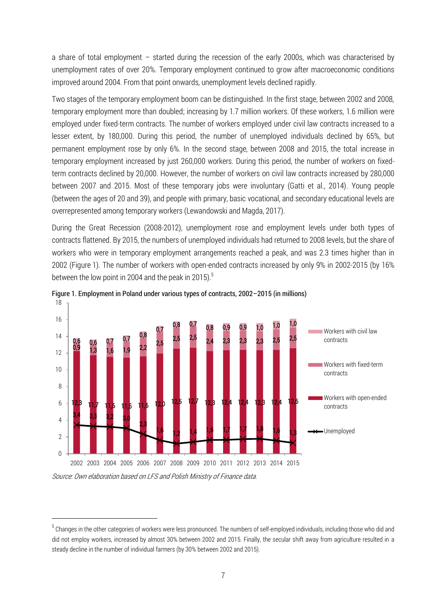a share of total employment – started during the recession of the early 2000s, which was characterised by unemployment rates of over 20%. Temporary employment continued to grow after macroeconomic conditions improved around 2004. From that point onwards, unemployment levels declined rapidly.

Two stages of the temporary employment boom can be distinguished. In the first stage, between 2002 and 2008, temporary employment more than doubled; increasing by 1.7 million workers. Of these workers, 1.6 million were employed under fixed-term contracts. The number of workers employed under civil law contracts increased to a lesser extent, by 180,000. During this period, the number of unemployed individuals declined by 65%, but permanent employment rose by only 6%. In the second stage, between 2008 and 2015, the total increase in temporary employment increased by just 260,000 workers. During this period, the number of workers on fixedterm contracts declined by 20,000. However, the number of workers on civil law contracts increased by 280,000 between 2007 and 2015. Most of these temporary jobs were involuntary (Gatti et al., 2014). Young people (between the ages of 20 and 39), and people with primary, basic vocational, and secondary educational levels are overrepresented among temporary workers (Lewandowski and Magda, 2017).

During the Great Recession (2008-2012), unemployment rose and employment levels under both types of contracts flattened. By 2015, the numbers of unemployed individuals had returned to 2008 levels, but the share of workers who were in temporary employment arrangements reached a peak, and was 2.3 times higher than in 2002 (Figure 1). The number of workers with open-ended contracts increased by only 9% in 2002-2015 (by 16% between the low point in 2004 and the peak in 2015).<sup>5</sup>





Source: Own elaboration based on LFS and Polish Ministry of Finance data.

 $\overline{a}$ 

 $^5$  Changes in the other categories of workers were less pronounced. The numbers of self-employed individuals, including those who did and did not employ workers, increased by almost 30% between 2002 and 2015. Finally, the secular shift away from agriculture resulted in a steady decline in the number of individual farmers (by 30% between 2002 and 2015).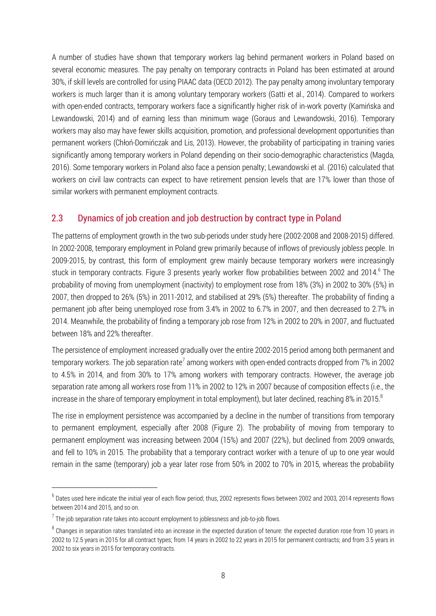A number of studies have shown that temporary workers lag behind permanent workers in Poland based on several economic measures. The pay penalty on temporary contracts in Poland has been estimated at around 30%, if skill levels are controlled for using PIAAC data (OECD 2012). The pay penalty among involuntary temporary workers is much larger than it is among voluntary temporary workers (Gatti et al., 2014). Compared to workers with open-ended contracts, temporary workers face a significantly higher risk of in-work poverty (Kamińska and Lewandowski, 2014) and of earning less than minimum wage (Goraus and Lewandowski, 2016). Temporary workers may also may have fewer skills acquisition, promotion, and professional development opportunities than permanent workers (Chłoń-Domińczak and Lis, 2013). However, the probability of participating in training varies significantly among temporary workers in Poland depending on their socio-demographic characteristics (Magda, 2016). Some temporary workers in Poland also face a pension penalty; Lewandowski et al. (2016) calculated that workers on civil law contracts can expect to have retirement pension levels that are 17% lower than those of similar workers with permanent employment contracts.

## 2.3 Dynamics of job creation and job destruction by contract type in Poland

The patterns of employment growth in the two sub-periods under study here (2002-2008 and 2008-2015) differed. In 2002-2008, temporary employment in Poland grew primarily because of inflows of previously jobless people. In 2009-2015, by contrast, this form of employment grew mainly because temporary workers were increasingly stuck in temporary contracts. Figure 3 presents yearly worker flow probabilities between 2002 and 2014.<sup>6</sup> The probability of moving from unemployment (inactivity) to employment rose from 18% (3%) in 2002 to 30% (5%) in 2007, then dropped to 26% (5%) in 2011-2012, and stabilised at 29% (5%) thereafter. The probability of finding a permanent job after being unemployed rose from 3.4% in 2002 to 6.7% in 2007, and then decreased to 2.7% in 2014. Meanwhile, the probability of finding a temporary job rose from 12% in 2002 to 20% in 2007, and fluctuated between 18% and 22% thereafter.

The persistence of employment increased gradually over the entire 2002-2015 period among both permanent and temporary workers. The job separation rate<sup>7</sup> among workers with open-ended contracts dropped from 7% in 2002 to 4.5% in 2014, and from 30% to 17% among workers with temporary contracts. However, the average job separation rate among all workers rose from 11% in 2002 to 12% in 2007 because of composition effects (i.e., the increase in the share of temporary employment in total employment), but later declined, reaching 8% in 2015.<sup>8</sup>

The rise in employment persistence was accompanied by a decline in the number of transitions from temporary to permanent employment, especially after 2008 (Figure 2). The probability of moving from temporary to permanent employment was increasing between 2004 (15%) and 2007 (22%), but declined from 2009 onwards, and fell to 10% in 2015. The probability that a temporary contract worker with a tenure of up to one year would remain in the same (temporary) job a year later rose from 50% in 2002 to 70% in 2015, whereas the probability

l

 $^6$  Dates used here indicate the initial year of each flow period; thus, 2002 represents flows between 2002 and 2003, 2014 represents flows between 2014 and 2015, and so on.

 $^7$  The job separation rate takes into account employment to joblessness and job-to-job flows.

 $^8$  Changes in separation rates translated into an increase in the expected duration of tenure: the expected duration rose from 10 years in 2002 to 12.5 years in 2015 for all contract types; from 14 years in 2002 to 22 years in 2015 for permanent contracts; and from 3.5 years in 2002 to six years in 2015 for temporary contracts.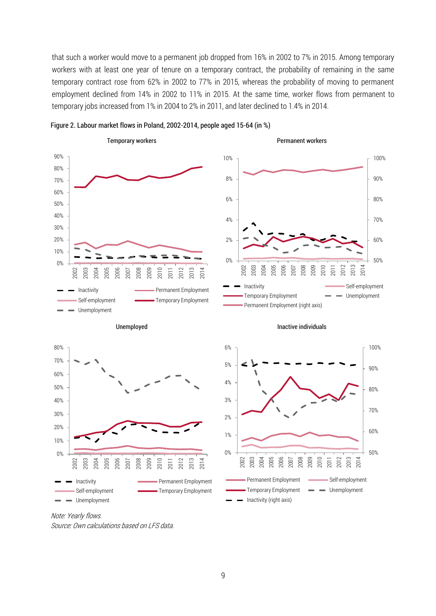that such a worker would move to a permanent job dropped from 16% in 2002 to 7% in 2015. Among temporary workers with at least one year of tenure on a temporary contract, the probability of remaining in the same temporary contract rose from 62% in 2002 to 77% in 2015, whereas the probability of moving to permanent employment declined from 14% in 2002 to 11% in 2015. At the same time, worker flows from permanent to temporary jobs increased from 1% in 2004 to 2% in 2011, and later declined to 1.4% in 2014.



Figure 2. Labour market flows in Poland, 2002-2014, people aged 15-64 (in %)

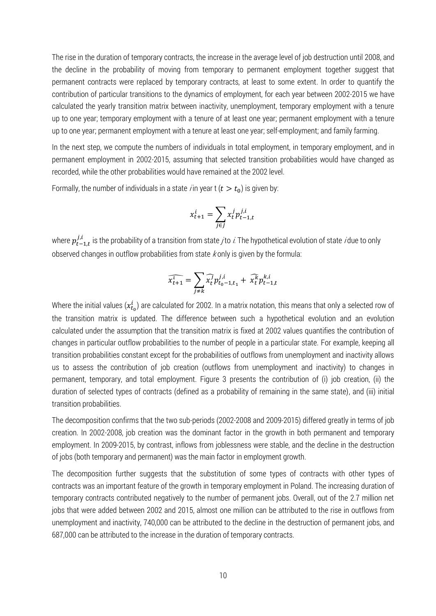The rise in the duration of temporary contracts, the increase in the average level of job destruction until 2008, and the decline in the probability of moving from temporary to permanent employment together suggest that permanent contracts were replaced by temporary contracts, at least to some extent. In order to quantify the contribution of particular transitions to the dynamics of employment, for each year between 2002-2015 we have calculated the yearly transition matrix between inactivity, unemployment, temporary employment with a tenure up to one year; temporary employment with a tenure of at least one year; permanent employment with a tenure up to one year; permanent employment with a tenure at least one year; self-employment; and family farming.

In the next step, we compute the numbers of individuals in total employment, in temporary employment, and in permanent employment in 2002-2015, assuming that selected transition probabilities would have changed as recorded, while the other probabilities would have remained at the 2002 level.

Formally, the number of individuals in a state *i* in year t ( $t > t_0$ ) is given by:

$$
x_{t+1}^i = \sum_{j \in J} x_t^j p_{t-1,t}^{j,i}
$$

where  $p_{t-1,t}^{j,i}$  is the probability of a transition from state  $j$ to  $i$  The hypothetical evolution of state  $i$ due to only observed changes in outflow probabilities from state  $k$  only is given by the formula:

$$
\widehat{x_{t+1}^1} = \sum_{j \neq k} \widehat{x_t^j} p_{t_0-1,t_1}^{j,i} + \widehat{x_t^k} p_{t-1,t}^{k,i}
$$

Where the initial values  $(x_{t_0}^i)$  are calculated for 2002. In a matrix notation, this means that only a selected row of the transition matrix is updated. The difference between such a hypothetical evolution and an evolution calculated under the assumption that the transition matrix is fixed at 2002 values quantifies the contribution of changes in particular outflow probabilities to the number of people in a particular state. For example, keeping all transition probabilities constant except for the probabilities of outflows from unemployment and inactivity allows us to assess the contribution of job creation (outflows from unemployment and inactivity) to changes in permanent, temporary, and total employment. Figure 3 presents the contribution of (i) job creation, (ii) the duration of selected types of contracts (defined as a probability of remaining in the same state), and (iii) initial transition probabilities.

The decomposition confirms that the two sub-periods (2002-2008 and 2009-2015) differed greatly in terms of job creation. In 2002-2008, job creation was the dominant factor in the growth in both permanent and temporary employment. In 2009-2015, by contrast, inflows from joblessness were stable, and the decline in the destruction of jobs (both temporary and permanent) was the main factor in employment growth.

The decomposition further suggests that the substitution of some types of contracts with other types of contracts was an important feature of the growth in temporary employment in Poland. The increasing duration of temporary contracts contributed negatively to the number of permanent jobs. Overall, out of the 2.7 million net jobs that were added between 2002 and 2015, almost one million can be attributed to the rise in outflows from unemployment and inactivity, 740,000 can be attributed to the decline in the destruction of permanent jobs, and 687,000 can be attributed to the increase in the duration of temporary contracts.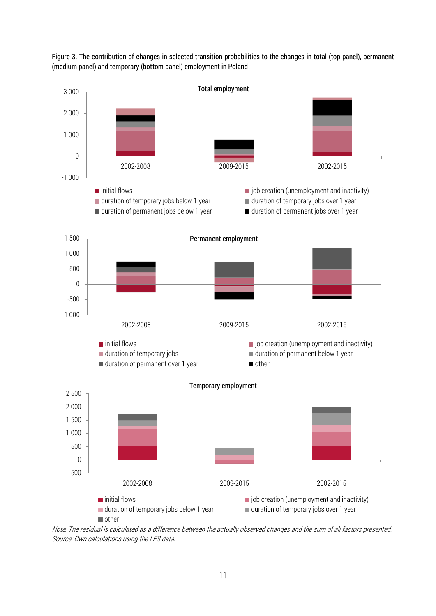

Figure 3. The contribution of changes in selected transition probabilities to the changes in total (top panel), permanent (medium panel) and temporary (bottom panel) employment in Poland

Note: The residual is calculated as a difference between the actually observed changes and the sum of all factors presented. Source: Own calculations using the LFS data.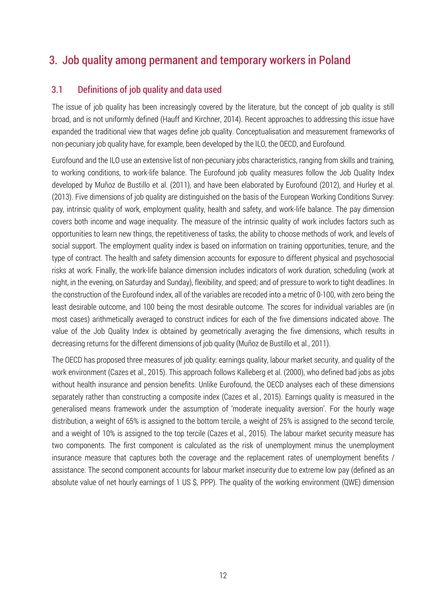## 3. Job quality among permanent and temporary workers in Poland

## 3.1 Definitions of job quality and data used

The issue of job quality has been increasingly covered by the literature, but the concept of job quality is still broad, and is not uniformly defined (Hauff and Kirchner, 2014). Recent approaches to addressing this issue have expanded the traditional view that wages define job quality. Conceptualisation and measurement frameworks of non-pecuniary job quality have, for example, been developed by the ILO, the OECD, and Eurofound.

Eurofound and the ILO use an extensive list of non-pecuniary jobs characteristics, ranging from skills and training, to working conditions, to work-life balance. The Eurofound job quality measures follow the Job Quality Index developed by Muñoz de Bustillo et al. (2011), and have been elaborated by Eurofound (2012), and Hurley et al. (2013). Five dimensions of job quality are distinguished on the basis of the European Working Conditions Survey: pay, intrinsic quality of work, employment quality, health and safety, and work-life balance. The pay dimension covers both income and wage inequality. The measure of the intrinsic quality of work includes factors such as opportunities to learn new things, the repetitiveness of tasks, the ability to choose methods of work, and levels of social support. The employment quality index is based on information on training opportunities, tenure, and the type of contract. The health and safety dimension accounts for exposure to different physical and psychosocial risks at work. Finally, the work-life balance dimension includes indicators of work duration, scheduling (work at night, in the evening, on Saturday and Sunday), flexibility, and speed; and of pressure to work to tight deadlines. In the construction of the Eurofound index, all of the variables are recoded into a metric of 0-100, with zero being the least desirable outcome, and 100 being the most desirable outcome. The scores for individual variables are (in most cases) arithmetically averaged to construct indices for each of the five dimensions indicated above. The value of the Job Quality Index is obtained by geometrically averaging the five dimensions, which results in decreasing returns for the different dimensions of job quality (Muñoz de Bustillo et al., 2011).

The OECD has proposed three measures of job quality: earnings quality, labour market security, and quality of the work environment (Cazes et al., 2015). This approach follows Kalleberg et al. (2000), who defined bad jobs as jobs without health insurance and pension benefits. Unlike Eurofound, the OECD analyses each of these dimensions separately rather than constructing a composite index (Cazes et al., 2015). Earnings quality is measured in the generalised means framework under the assumption of 'moderate inequality aversion'. For the hourly wage distribution, a weight of 65% is assigned to the bottom tercile, a weight of 25% is assigned to the second tercile, and a weight of 10% is assigned to the top tercile (Cazes et al., 2015). The labour market security measure has two components. The first component is calculated as the risk of unemployment minus the unemployment insurance measure that captures both the coverage and the replacement rates of unemployment benefits / assistance. The second component accounts for labour market insecurity due to extreme low pay (defined as an absolute value of net hourly earnings of 1 US \$, PPP). The quality of the working environment (QWE) dimension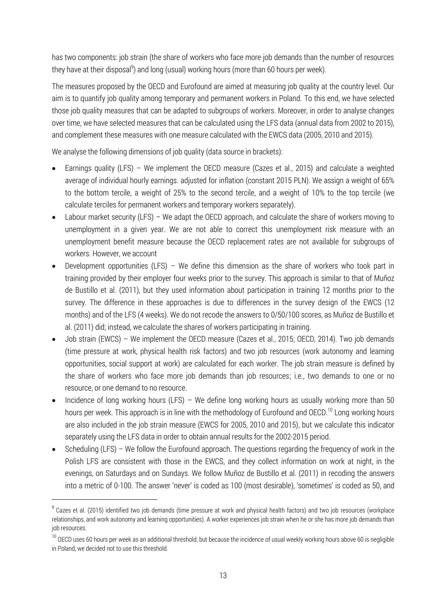has two components: job strain (the share of workers who face more job demands than the number of resources they have at their disposal<sup>9</sup>) and long (usual) working hours (more than 60 hours per week).

The measures proposed by the OECD and Eurofound are aimed at measuring job quality at the country level. Our aim is to quantify job quality among temporary and permanent workers in Poland. To this end, we have selected those job quality measures that can be adapted to subgroups of workers. Moreover, in order to analyse changes over time, we have selected measures that can be calculated using the LFS data (annual data from 2002 to 2015), and complement these measures with one measure calculated with the EWCS data (2005, 2010 and 2015).

We analyse the following dimensions of job quality (data source in brackets):

- Earnings quality (LFS) We implement the OECD measure (Cazes et al., 2015) and calculate a weighted average of individual hourly earnings. adjusted for inflation (constant 2015 PLN). We assign a weight of 65% to the bottom tercile, a weight of 25% to the second tercile, and a weight of 10% to the top tercile (we calculate terciles for permanent workers and temporary workers separately).
- Labour market security (LFS) We adapt the OECD approach, and calculate the share of workers moving to unemployment in a given year. We are not able to correct this unemployment risk measure with an unemployment benefit measure because the OECD replacement rates are not available for subgroups of workers. However, we account
- Development opportunities (LFS) We define this dimension as the share of workers who took part in training provided by their employer four weeks prior to the survey. This approach is similar to that of Muñoz de Bustillo et al. (2011), but they used information about participation in training 12 months prior to the survey. The difference in these approaches is due to differences in the survey design of the EWCS (12 months) and of the LFS (4 weeks). We do not recode the answers to 0/50/100 scores, as Muñoz de Bustillo et al. (2011) did; instead, we calculate the shares of workers participating in training.
- Job strain (EWCS) We implement the OECD measure (Cazes et al., 2015; OECD, 2014). Two job demands (time pressure at work, physical health risk factors) and two job resources (work autonomy and learning opportunities, social support at work) are calculated for each worker. The job strain measure is defined by the share of workers who face more job demands than job resources; i.e., two demands to one or no resource, or one demand to no resource.
- Incidence of long working hours (LFS) We define long working hours as usually working more than 50 hours per week. This approach is in line with the methodology of Eurofound and OECD.<sup>10</sup> Long working hours are also included in the job strain measure (EWCS for 2005, 2010 and 2015), but we calculate this indicator separately using the LFS data in order to obtain annual results for the 2002-2015 period.
- Scheduling (LFS) We follow the Eurofound approach. The questions regarding the frequency of work in the Polish LFS are consistent with those in the EWCS, and they collect information on work at night, in the evenings, on Saturdays and on Sundays. We follow Muñoz de Bustillo et al. (2011) in recoding the answers into a metric of 0-100. The answer 'never' is coded as 100 (most desirable), 'sometimes' is coded as 50, and

l

 $^9$  Cazes et al. (2015) identified two job demands (time pressure at work and physical health factors) and two job resources (workplace relationships, and work autonomy and learning opportunities). A worker experiences job strain when he or she has more job demands than job resources.

<sup>&</sup>lt;sup>10</sup> OECD uses 60 hours per week as an additional threshold, but because the incidence of usual weekly working hours above 60 is negligible in Poland, we decided not to use this threshold.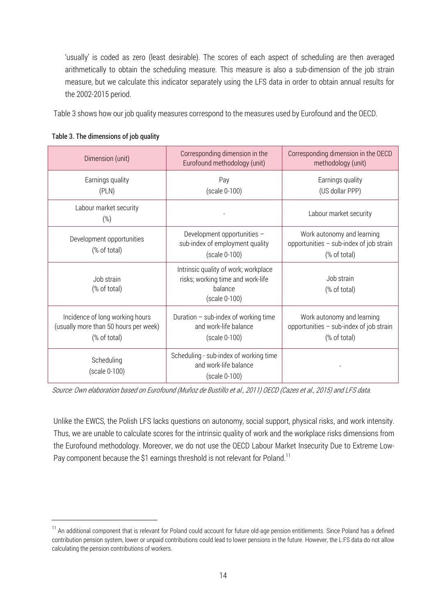'usually' is coded as zero (least desirable). The scores of each aspect of scheduling are then averaged arithmetically to obtain the scheduling measure. This measure is also a sub-dimension of the job strain measure, but we calculate this indicator separately using the LFS data in order to obtain annual results for the 2002-2015 period.

Table 3 shows how our job quality measures correspond to the measures used by Eurofound and the OECD.

| Dimension (unit)                                                                         | Corresponding dimension in the<br>Eurofound methodology (unit)                                        | Corresponding dimension in the OECD<br>methodology (unit)                               |
|------------------------------------------------------------------------------------------|-------------------------------------------------------------------------------------------------------|-----------------------------------------------------------------------------------------|
| Earnings quality<br>(PLN)                                                                | Pay<br>(scale 0-100)                                                                                  | Earnings quality<br>(US dollar PPP)                                                     |
| Labour market security<br>(%)                                                            |                                                                                                       | Labour market security                                                                  |
| Development opportunities<br>(% of total)                                                | Development opportunities -<br>sub-index of employment quality<br>(scale 0-100)                       | Work autonomy and learning<br>opportunities - sub-index of job strain<br>(% of total)   |
| Job strain<br>(% of total)                                                               | Intrinsic quality of work; workplace<br>risks; working time and work-life<br>balance<br>(scale 0-100) | Job strain<br>(% of total)                                                              |
| Incidence of long working hours<br>(usually more than 50 hours per week)<br>(% of total) | Duration $-$ sub-index of working time<br>and work-life balance<br>(scale 0-100)                      | Work autonomy and learning<br>opportunities $-$ sub-index of job strain<br>(% of total) |
| Scheduling<br>(scale 0-100)                                                              | Scheduling - sub-index of working time<br>and work-life balance<br>(scale 0-100)                      |                                                                                         |

#### Table 3. The dimensions of job quality

l

Source: Own elaboration based on Eurofound (Muñoz de Bustillo et al., 2011) OECD (Cazes et al., 2015) and LFS data.

Unlike the EWCS, the Polish LFS lacks questions on autonomy, social support, physical risks, and work intensity. Thus, we are unable to calculate scores for the intrinsic quality of work and the workplace risks dimensions from the Eurofound methodology. Moreover, we do not use the OECD Labour Market Insecurity Due to Extreme Low-Pay component because the \$1 earnings threshold is not relevant for Poland.<sup>11</sup>

<sup>&</sup>lt;sup>11</sup> An additional component that is relevant for Poland could account for future old-age pension entitlements. Since Poland has a defined contribution pension system, lower or unpaid contributions could lead to lower pensions in the future. However, the L:FS data do not allow calculating the pension contributions of workers.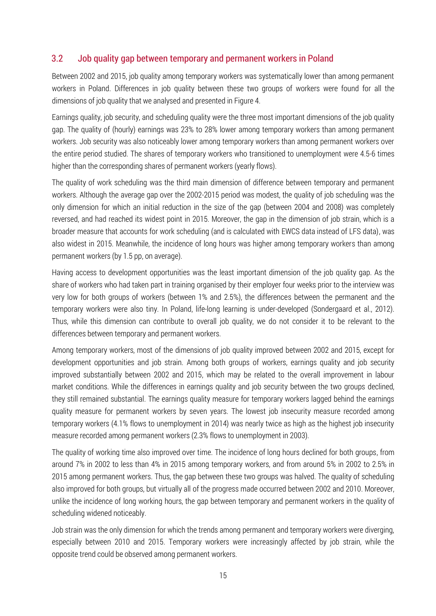#### 3.2 Job quality gap between temporary and permanent workers in Poland

Between 2002 and 2015, job quality among temporary workers was systematically lower than among permanent workers in Poland. Differences in job quality between these two groups of workers were found for all the dimensions of job quality that we analysed and presented in Figure 4.

Earnings quality, job security, and scheduling quality were the three most important dimensions of the job quality gap. The quality of (hourly) earnings was 23% to 28% lower among temporary workers than among permanent workers. Job security was also noticeably lower among temporary workers than among permanent workers over the entire period studied. The shares of temporary workers who transitioned to unemployment were 4.5-6 times higher than the corresponding shares of permanent workers (yearly flows).

The quality of work scheduling was the third main dimension of difference between temporary and permanent workers. Although the average gap over the 2002-2015 period was modest, the quality of job scheduling was the only dimension for which an initial reduction in the size of the gap (between 2004 and 2008) was completely reversed, and had reached its widest point in 2015. Moreover, the gap in the dimension of job strain, which is a broader measure that accounts for work scheduling (and is calculated with EWCS data instead of LFS data), was also widest in 2015. Meanwhile, the incidence of long hours was higher among temporary workers than among permanent workers (by 1.5 pp, on average).

Having access to development opportunities was the least important dimension of the job quality gap. As the share of workers who had taken part in training organised by their employer four weeks prior to the interview was very low for both groups of workers (between 1% and 2.5%), the differences between the permanent and the temporary workers were also tiny. In Poland, life-long learning is under-developed (Sondergaard et al., 2012). Thus, while this dimension can contribute to overall job quality, we do not consider it to be relevant to the differences between temporary and permanent workers.

Among temporary workers, most of the dimensions of job quality improved between 2002 and 2015, except for development opportunities and job strain. Among both groups of workers, earnings quality and job security improved substantially between 2002 and 2015, which may be related to the overall improvement in labour market conditions. While the differences in earnings quality and job security between the two groups declined, they still remained substantial. The earnings quality measure for temporary workers lagged behind the earnings quality measure for permanent workers by seven years. The lowest job insecurity measure recorded among temporary workers (4.1% flows to unemployment in 2014) was nearly twice as high as the highest job insecurity measure recorded among permanent workers (2.3% flows to unemployment in 2003).

The quality of working time also improved over time. The incidence of long hours declined for both groups, from around 7% in 2002 to less than 4% in 2015 among temporary workers, and from around 5% in 2002 to 2.5% in 2015 among permanent workers. Thus, the gap between these two groups was halved. The quality of scheduling also improved for both groups, but virtually all of the progress made occurred between 2002 and 2010. Moreover, unlike the incidence of long working hours, the gap between temporary and permanent workers in the quality of scheduling widened noticeably.

Job strain was the only dimension for which the trends among permanent and temporary workers were diverging, especially between 2010 and 2015. Temporary workers were increasingly affected by job strain, while the opposite trend could be observed among permanent workers.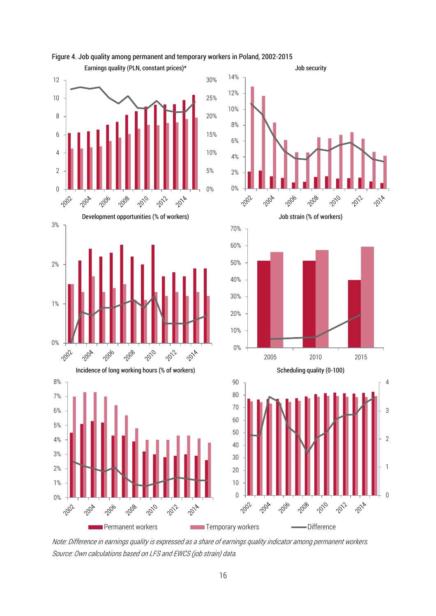

Figure 4. Job quality among permanent and temporary workers in Poland, 2002-2015

Note: Difference in earnings quality is expressed as a share of earnings quality indicator among permanent workers. Source: Own calculations based on LFS and EWCS (job strain) data.

 $\overline{0}$ 

1

2

3

4

2014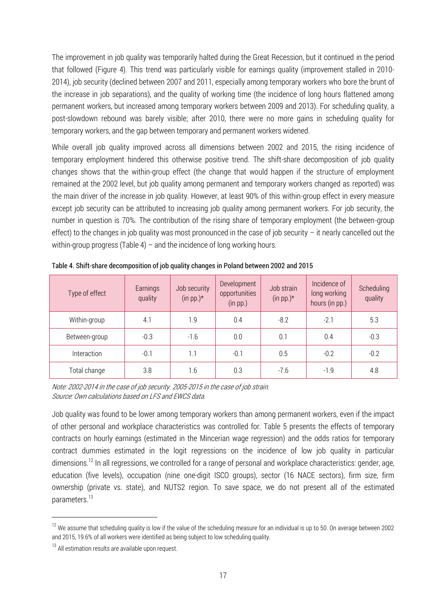The improvement in job quality was temporarily halted during the Great Recession, but it continued in the period that followed (Figure 4). This trend was particularly visible for earnings quality (improvement stalled in 2010- 2014), job security (declined between 2007 and 2011, especially among temporary workers who bore the brunt of the increase in job separations), and the quality of working time (the incidence of long hours flattened among permanent workers, but increased among temporary workers between 2009 and 2013). For scheduling quality, a post-slowdown rebound was barely visible; after 2010, there were no more gains in scheduling quality for temporary workers, and the gap between temporary and permanent workers widened.

While overall job quality improved across all dimensions between 2002 and 2015, the rising incidence of temporary employment hindered this otherwise positive trend. The shift-share decomposition of job quality changes shows that the within-group effect (the change that would happen if the structure of employment remained at the 2002 level, but job quality among permanent and temporary workers changed as reported) was the main driver of the increase in job quality. However, at least 90% of this within-group effect in every measure except job security can be attributed to increasing job quality among permanent workers. For job security, the number in question is 70%. The contribution of the rising share of temporary employment (the between-group effect) to the changes in job quality was most pronounced in the case of job security – it nearly cancelled out the within-group progress (Table 4) – and the incidence of long working hours.

| Type of effect | Earnings<br>quality | Job security<br>(in pp.) $*$ | Development<br>opportunities<br>(in pp.) | Job strain<br>(in pp.) $*$ | Incidence of<br>long working<br>hours (in pp.) | Scheduling<br>quality |  |
|----------------|---------------------|------------------------------|------------------------------------------|----------------------------|------------------------------------------------|-----------------------|--|
| Within-group   | 4.1                 | 1.9                          | 0.4                                      | $-8.2$                     | $-2.1$                                         | 5.3                   |  |
| Between-group  | $-0.3$              | $-1.6$                       | 0.0                                      | 0.1                        | 0.4                                            | $-0.3$                |  |
| Interaction    | $-0.1$              | 1.1                          | $-0.1$                                   | 0.5                        | $-0.2$                                         | $-0.2$                |  |
| Total change   | 3.8                 | 1.6                          | 0.3                                      | $-7.6$                     | $-1.9$                                         | 4.8                   |  |

Table 4. Shift-share decomposition of job quality changes in Poland between 2002 and 2015

Note: 2002-2014 in the case of job security. 2005-2015 in the case of job strain. Source: Own calculations based on LFS and EWCS data.

Job quality was found to be lower among temporary workers than among permanent workers, even if the impact of other personal and workplace characteristics was controlled for. Table 5 presents the effects of temporary contracts on hourly earnings (estimated in the Mincerian wage regression) and the odds ratios for temporary contract dummies estimated in the logit regressions on the incidence of low job quality in particular dimensions.<sup>12</sup> In all regressions, we controlled for a range of personal and workplace characteristics: gender, age, education (five levels), occupation (nine one-digit ISCO groups), sector (16 NACE sectors), firm size, firm ownership (private vs. state), and NUTS2 region. To save space, we do not present all of the estimated parameters.<sup>13</sup>

 $\overline{a}$ 

<sup>&</sup>lt;sup>12</sup> We assume that scheduling quality is low if the value of the scheduling measure for an individual is up to 50. On average between 2002 and 2015, 19.6% of all workers were identified as being subject to low scheduling quality.

<sup>&</sup>lt;sup>13</sup> All estimation results are available upon request.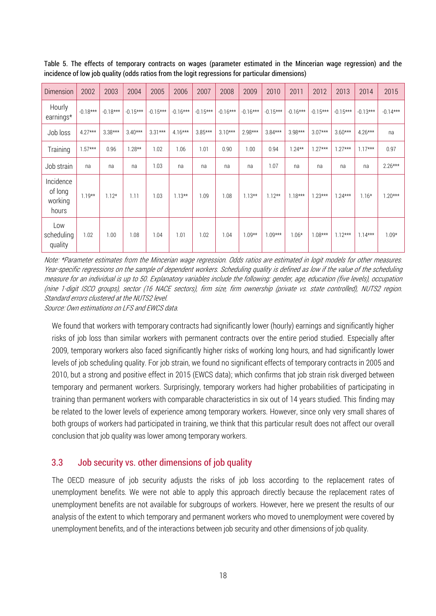| Dimension                                | 2002       | 2003       | 2004       | 2005       | 2006       | 2007       | 2008       | 2009       | 2010       | 2011       | 2012       | 2013       | 2014       | 2015       |
|------------------------------------------|------------|------------|------------|------------|------------|------------|------------|------------|------------|------------|------------|------------|------------|------------|
| Hourly<br>earnings*                      | $-0.18***$ | $-0.18***$ | $-0.15***$ | $-0.15***$ | $-0.16***$ | $-0.15***$ | $-0.16***$ | $-0.16***$ | $-0.15***$ | $-0.16***$ | $-0.15***$ | $-0.15***$ | $-0.13***$ | $-0.14***$ |
| Job loss                                 | $4.27***$  | $3.38***$  | $3.40***$  | $3.31***$  | $4.16***$  | $3.85***$  | $3.10***$  | $2.98***$  | $3.84***$  | $3.98***$  | $3.07***$  | $3.60***$  | $4.26***$  | na         |
| Training                                 | $1.57***$  | 0.96       | $1.28**$   | 1.02       | 1.06       | 1.01       | 0.90       | 1.00       | 0.94       | $1.24**$   | $1.27***$  | $1.27***$  | $1.17***$  | 0.97       |
| Job strain                               | na         | na         | na         | 1.03       | na         | na         | na         | na         | 1.07       | na         | na         | na         | na         | $2.26***$  |
| Incidence<br>of long<br>working<br>hours | $1.19**$   | $1.12*$    | 1.11       | 1.03       | $1.13**$   | 1.09       | 1.08       | $1.13**$   | $1.12**$   | $1.18***$  | $1.23***$  | $1.24***$  | $1.16*$    | $1.20***$  |
| Low<br>scheduling<br>quality             | 1.02       | 1.00       | 1.08       | 1.04       | 1.01       | 1.02       | 1.04       | $1.09**$   | $1.09***$  | $1.06*$    | $1.08***$  | $1.12***$  | $1.14***$  | $1.09*$    |

Table 5. The effects of temporary contracts on wages (parameter estimated in the Mincerian wage regression) and the incidence of low job quality (odds ratios from the logit regressions for particular dimensions)

Note: \*Parameter estimates from the Mincerian wage regression. Odds ratios are estimated in logit models for other measures. Year-specific regressions on the sample of dependent workers. Scheduling quality is defined as low if the value of the scheduling measure for an individual is up to 50. Explanatory variables include the following: gender, age, education (five levels), occupation (nine 1-digit ISCO groups), sector (16 NACE sectors), firm size, firm ownership (private vs. state controlled), NUTS2 region. Standard errors clustered at the NUTS2 level.

Source: Own estimations on LFS and EWCS data.

We found that workers with temporary contracts had significantly lower (hourly) earnings and significantly higher risks of job loss than similar workers with permanent contracts over the entire period studied. Especially after 2009, temporary workers also faced significantly higher risks of working long hours, and had significantly lower levels of job scheduling quality. For job strain, we found no significant effects of temporary contracts in 2005 and 2010, but a strong and positive effect in 2015 (EWCS data); which confirms that job strain risk diverged between temporary and permanent workers. Surprisingly, temporary workers had higher probabilities of participating in training than permanent workers with comparable characteristics in six out of 14 years studied. This finding may be related to the lower levels of experience among temporary workers. However, since only very small shares of both groups of workers had participated in training, we think that this particular result does not affect our overall conclusion that job quality was lower among temporary workers.

#### 3.3 Job security vs. other dimensions of job quality

The OECD measure of job security adjusts the risks of job loss according to the replacement rates of unemployment benefits. We were not able to apply this approach directly because the replacement rates of unemployment benefits are not available for subgroups of workers. However, here we present the results of our analysis of the extent to which temporary and permanent workers who moved to unemployment were covered by unemployment benefits, and of the interactions between job security and other dimensions of job quality.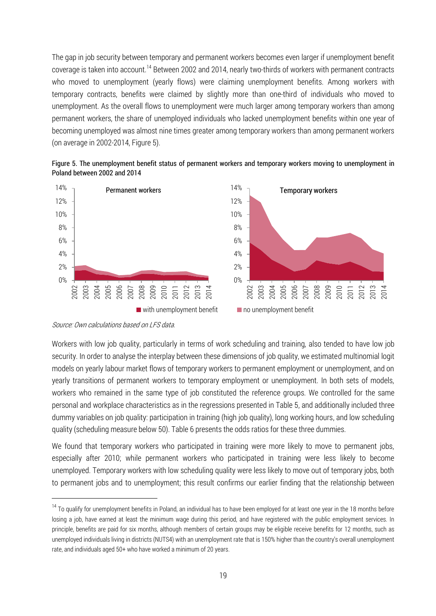The gap in job security between temporary and permanent workers becomes even larger if unemployment benefit coverage is taken into account.<sup>14</sup> Between 2002 and 2014, nearly two-thirds of workers with permanent contracts who moved to unemployment (yearly flows) were claiming unemployment benefits. Among workers with temporary contracts, benefits were claimed by slightly more than one-third of individuals who moved to unemployment. As the overall flows to unemployment were much larger among temporary workers than among permanent workers, the share of unemployed individuals who lacked unemployment benefits within one year of becoming unemployed was almost nine times greater among temporary workers than among permanent workers (on average in 2002-2014, Figure 5).





l

Workers with low job quality, particularly in terms of work scheduling and training, also tended to have low job security. In order to analyse the interplay between these dimensions of job quality, we estimated multinomial logit models on yearly labour market flows of temporary workers to permanent employment or unemployment, and on yearly transitions of permanent workers to temporary employment or unemployment. In both sets of models, workers who remained in the same type of job constituted the reference groups. We controlled for the same personal and workplace characteristics as in the regressions presented in Table 5, and additionally included three dummy variables on job quality: participation in training (high job quality), long working hours, and low scheduling quality (scheduling measure below 50). Table 6 presents the odds ratios for these three dummies.

We found that temporary workers who participated in training were more likely to move to permanent jobs, especially after 2010; while permanent workers who participated in training were less likely to become unemployed. Temporary workers with low scheduling quality were less likely to move out of temporary jobs, both to permanent jobs and to unemployment; this result confirms our earlier finding that the relationship between

Source: Own calculations based on LFS data.

<sup>&</sup>lt;sup>14</sup> To qualify for unemployment benefits in Poland, an individual has to have been employed for at least one year in the 18 months before losing a job, have earned at least the minimum wage during this period, and have registered with the public employment services. In principle, benefits are paid for six months, although members of certain groups may be eligible receive benefits for 12 months, such as unemployed individuals living in districts (NUTS4) with an unemployment rate that is 150% higher than the country's overall unemployment rate, and individuals aged 50+ who have worked a minimum of 20 years.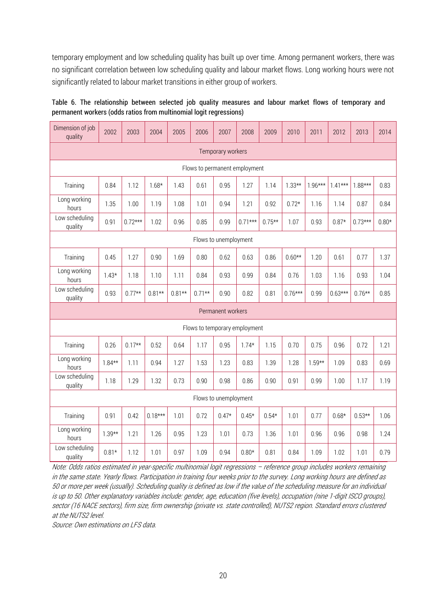temporary employment and low scheduling quality has built up over time. Among permanent workers, there was no significant correlation between low scheduling quality and labour market flows. Long working hours were not significantly related to labour market transitions in either group of workers.

| Dimension of job<br>quality   | 2002     | 2003      | 2004      | 2005     | 2006     | 2007                  | 2008                          | 2009     | 2010      | 2011      | 2012      | 2013      | 2014    |
|-------------------------------|----------|-----------|-----------|----------|----------|-----------------------|-------------------------------|----------|-----------|-----------|-----------|-----------|---------|
| Temporary workers             |          |           |           |          |          |                       |                               |          |           |           |           |           |         |
| Flows to permanent employment |          |           |           |          |          |                       |                               |          |           |           |           |           |         |
| Training                      | 0.84     | 1.12      | $1.68*$   | 1.43     | 0.61     | 0.95                  | 1.27                          | 1.14     | $1.33**$  | $1.96***$ | $1.41***$ | $1.88***$ | 0.83    |
| Long working<br>hours         | 1.35     | 1.00      | 1.19      | 1.08     | 1.01     | 0.94                  | 1.21                          | 0.92     | $0.72*$   | 1.16      | 1.14      | 0.87      | 0.84    |
| Low scheduling<br>quality     | 0.91     | $0.72***$ | 1.02      | 0.96     | 0.85     | 0.99                  | $0.71***$                     | $0.75**$ | 1.07      | 0.93      | $0.87*$   | $0.73***$ | $0.80*$ |
|                               |          |           |           |          |          | Flows to unemployment |                               |          |           |           |           |           |         |
| Training                      | 0.45     | 1.27      | 0.90      | 1.69     | 0.80     | 0.62                  | 0.63                          | 0.86     | $0.60**$  | 1.20      | 0.61      | 0.77      | 1.37    |
| Long working<br>hours         | $1.43*$  | 1.18      | 1.10      | 1.11     | 0.84     | 0.93                  | 0.99                          | 0.84     | 0.76      | 1.03      | 1.16      | 0.93      | 1.04    |
| Low scheduling<br>quality     | 0.93     | $0.77**$  | $0.81**$  | $0.81**$ | $0.71**$ | 0.90                  | 0.82                          | 0.81     | $0.76***$ | 0.99      | $0.63***$ | $0.76**$  | 0.85    |
|                               |          |           |           |          |          | Permanent workers     |                               |          |           |           |           |           |         |
|                               |          |           |           |          |          |                       | Flows to temporary employment |          |           |           |           |           |         |
| Training                      | 0.26     | $0.17**$  | 0.52      | 0.64     | 1.17     | 0.95                  | $1.74*$                       | 1.15     | 0.70      | 0.75      | 0.96      | 0.72      | 1.21    |
| Long working<br>hours         | $1.84**$ | 1.11      | 0.94      | 1.27     | 1.53     | 1.23                  | 0.83                          | 1.39     | 1.28      | $1.59**$  | 1.09      | 0.83      | 0.69    |
| Low scheduling<br>quality     | 1.18     | 1.29      | 1.32      | 0.73     | 0.90     | 0.98                  | 0.86                          | 0.90     | 0.91      | 0.99      | 1.00      | 1.17      | 1.19    |
|                               |          |           |           |          |          | Flows to unemployment |                               |          |           |           |           |           |         |
| Training                      | 0.91     | 0.42      | $0.18***$ | 1.01     | 0.72     | $0.47*$               | $0.45*$                       | $0.54*$  | 1.01      | 0.77      | $0.68*$   | $0.53**$  | 1.06    |
| Long working<br>hours         | $1.39**$ | 1.21      | 1.26      | 0.95     | 1.23     | 1.01                  | 0.73                          | 1.36     | 1.01      | 0.96      | 0.96      | 0.98      | 1.24    |
| Low scheduling<br>quality     | $0.81*$  | 1.12      | 1.01      | 0.97     | 1.09     | 0.94                  | $0.80*$                       | 0.81     | 0.84      | 1.09      | 1.02      | 1.01      | 0.79    |

Table 6. The relationship between selected job quality measures and labour market flows of temporary and permanent workers (odds ratios from multinomial logit regressions)

Note: Odds ratios estimated in year-specific multinomial logit regressions – reference group includes workers remaining in the same state. Yearly flows. Participation in training four weeks prior to the survey. Long working hours are defined as 50 or more per week (usually). Scheduling quality is defined as low if the value of the scheduling measure for an individual is up to 50. Other explanatory variables include: gender, age, education (five levels), occupation (nine 1-digit ISCO groups), sector (16 NACE sectors), firm size, firm ownership (private vs. state controlled), NUTS2 region. Standard errors clustered at the NUTS2 level.

Source: Own estimations on LFS data.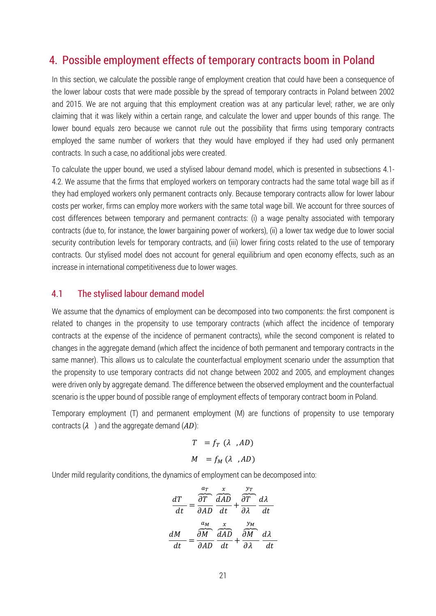## 4. Possible employment effects of temporary contracts boom in Poland

In this section, we calculate the possible range of employment creation that could have been a consequence of the lower labour costs that were made possible by the spread of temporary contracts in Poland between 2002 and 2015. We are not arguing that this employment creation was at any particular level; rather, we are only claiming that it was likely within a certain range, and calculate the lower and upper bounds of this range. The lower bound equals zero because we cannot rule out the possibility that firms using temporary contracts employed the same number of workers that they would have employed if they had used only permanent contracts. In such a case, no additional jobs were created.

To calculate the upper bound, we used a stylised labour demand model, which is presented in subsections 4.1- 4.2. We assume that the firms that employed workers on temporary contracts had the same total wage bill as if they had employed workers only permanent contracts only. Because temporary contracts allow for lower labour costs per worker, firms can employ more workers with the same total wage bill. We account for three sources of cost differences between temporary and permanent contracts: (i) a wage penalty associated with temporary contracts (due to, for instance, the lower bargaining power of workers), (ii) a lower tax wedge due to lower social security contribution levels for temporary contracts, and (iii) lower firing costs related to the use of temporary contracts. Our stylised model does not account for general equilibrium and open economy effects, such as an increase in international competitiveness due to lower wages.

#### 4.1 The stylised labour demand model

We assume that the dynamics of employment can be decomposed into two components: the first component is related to changes in the propensity to use temporary contracts (which affect the incidence of temporary contracts at the expense of the incidence of permanent contracts), while the second component is related to changes in the aggregate demand (which affect the incidence of both permanent and temporary contracts in the same manner). This allows us to calculate the counterfactual employment scenario under the assumption that the propensity to use temporary contracts did not change between 2002 and 2005, and employment changes were driven only by aggregate demand. The difference between the observed employment and the counterfactual scenario is the upper bound of possible range of employment effects of temporary contract boom in Poland.

Temporary employment (T) and permanent employment (M) are functions of propensity to use temporary contracts  $(\lambda)$  and the aggregate demand  $(AD)$ :

$$
T = f_T (\lambda, AD)
$$
  

$$
M = f_M (\lambda, AD)
$$

Under mild regularity conditions, the dynamics of employment can be decomposed into:

$$
\frac{dT}{dt} = \frac{\frac{a_T}{\partial T}}{\frac{\partial AD}{\partial AD}} \frac{\frac{x}{\partial AD}}{dt} + \frac{\frac{y_T}{\partial T}}{\frac{\partial A}{\partial A}} \frac{d\lambda}{dt}
$$

$$
\frac{dM}{dt} = \frac{\frac{a_M}{\partial M}}{\frac{\partial AD}{\partial AD}} \frac{\frac{x}{\partial AD}}{dt} + \frac{\frac{y_M}{\partial M}}{\frac{\partial A}{\partial A}} \frac{d\lambda}{dt}
$$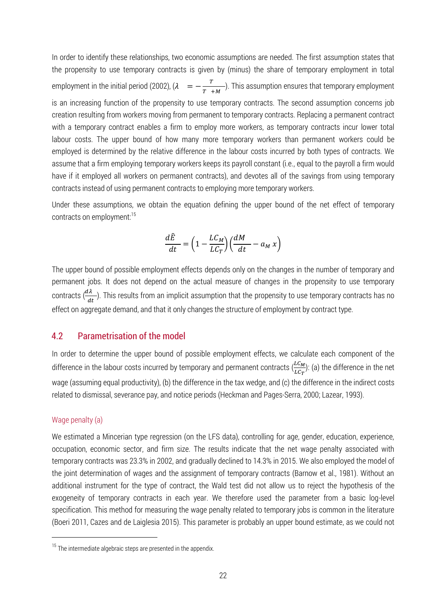In order to identify these relationships, two economic assumptions are needed. The first assumption states that the propensity to use temporary contracts is given by (minus) the share of temporary employment in total employment in the initial period (2002),  $\lambda = -\frac{r}{\pi}$  $\frac{1}{T+M}$ ). This assumption ensures that temporary employment is an increasing function of the propensity to use temporary contracts. The second assumption concerns job creation resulting from workers moving from permanent to temporary contracts. Replacing a permanent contract with a temporary contract enables a firm to employ more workers, as temporary contracts incur lower total labour costs. The upper bound of how many more temporary workers than permanent workers could be employed is determined by the relative difference in the labour costs incurred by both types of contracts. We assume that a firm employing temporary workers keeps its payroll constant (i.e., equal to the payroll a firm would have if it employed all workers on permanent contracts), and devotes all of the savings from using temporary contracts instead of using permanent contracts to employing more temporary workers.

Under these assumptions, we obtain the equation defining the upper bound of the net effect of temporary contracts on employment:<sup>15</sup>

$$
\frac{d\hat{E}}{dt} = \left(1 - \frac{LC_M}{LC_T}\right) \left(\frac{dM}{dt} - a_M x\right)
$$

The upper bound of possible employment effects depends only on the changes in the number of temporary and permanent jobs. It does not depend on the actual measure of changes in the propensity to use temporary contracts  $(\frac{d\lambda}{dt})$ . This results from an implicit assumption that the propensity to use temporary contracts has no effect on aggregate demand, and that it only changes the structure of employment by contract type.

#### 4.2 Parametrisation of the model

In order to determine the upper bound of possible employment effects, we calculate each component of the difference in the labour costs incurred by temporary and permanent contracts  $(\frac{LC_M}{LC_T})$ : (a) the difference in the net wage (assuming equal productivity), (b) the difference in the tax wedge, and (c) the difference in the indirect costs related to dismissal, severance pay, and notice periods (Heckman and Pages-Serra, 2000; Lazear, 1993).

#### Wage penalty (a)

 $\overline{a}$ 

We estimated a Mincerian type regression (on the LFS data), controlling for age, gender, education, experience, occupation, economic sector, and firm size. The results indicate that the net wage penalty associated with temporary contracts was 23.3% in 2002, and gradually declined to 14.3% in 2015. We also employed the model of the joint determination of wages and the assignment of temporary contracts (Barnow et al., 1981). Without an additional instrument for the type of contract, the Wald test did not allow us to reject the hypothesis of the exogeneity of temporary contracts in each year. We therefore used the parameter from a basic log-level specification. This method for measuring the wage penalty related to temporary jobs is common in the literature (Boeri 2011, Cazes and de Laiglesia 2015). This parameter is probably an upper bound estimate, as we could not

 $15$  The intermediate algebraic steps are presented in the appendix.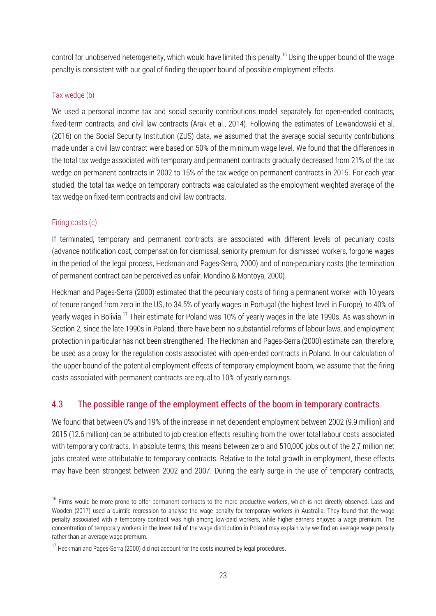control for unobserved heterogeneity, which would have limited this penalty.<sup>16</sup> Using the upper bound of the wage penalty is consistent with our goal of finding the upper bound of possible employment effects.

#### Tax wedge (b)

We used a personal income tax and social security contributions model separately for open-ended contracts, fixed-term contracts, and civil law contracts (Arak et al., 2014). Following the estimates of Lewandowski et al. (2016) on the Social Security Institution (ZUS) data, we assumed that the average social security contributions made under a civil law contract were based on 50% of the minimum wage level. We found that the differences in the total tax wedge associated with temporary and permanent contracts gradually decreased from 21% of the tax wedge on permanent contracts in 2002 to 15% of the tax wedge on permanent contracts in 2015. For each year studied, the total tax wedge on temporary contracts was calculated as the employment weighted average of the tax wedge on fixed-term contracts and civil law contracts.

#### Firing costs (c)

 $\overline{a}$ 

If terminated, temporary and permanent contracts are associated with different levels of pecuniary costs (advance notification cost, compensation for dismissal, seniority premium for dismissed workers, forgone wages in the period of the legal process, Heckman and Pages-Serra, 2000) and of non-pecuniary costs (the termination of permanent contract can be perceived as unfair, Mondino & Montoya, 2000).

Heckman and Pages-Serra (2000) estimated that the pecuniary costs of firing a permanent worker with 10 years of tenure ranged from zero in the US, to 34.5% of yearly wages in Portugal (the highest level in Europe), to 40% of yearly wages in Bolivia.<sup>17</sup> Their estimate for Poland was 10% of yearly wages in the late 1990s. As was shown in Section 2, since the late 1990s in Poland, there have been no substantial reforms of labour laws, and employment protection in particular has not been strengthened. The Heckman and Pages-Serra (2000) estimate can, therefore, be used as a proxy for the regulation costs associated with open-ended contracts in Poland. In our calculation of the upper bound of the potential employment effects of temporary employment boom, we assume that the firing costs associated with permanent contracts are equal to 10% of yearly earnings.

## 4.3 The possible range of the employment effects of the boom in temporary contracts

We found that between 0% and 19% of the increase in net dependent employment between 2002 (9.9 million) and 2015 (12.6 million) can be attributed to job creation effects resulting from the lower total labour costs associated with temporary contracts. In absolute terms, this means between zero and 510,000 jobs out of the 2.7 million net jobs created were attributable to temporary contracts. Relative to the total growth in employment, these effects may have been strongest between 2002 and 2007. During the early surge in the use of temporary contracts,

<sup>&</sup>lt;sup>16</sup> Firms would be more prone to offer permanent contracts to the more productive workers, which is not directly observed. Lass and Wooden (2017) used a quintile regression to analyse the wage penalty for temporary workers in Australia. They found that the wage penalty associated with a temporary contract was high among low-paid workers, while higher earners enjoyed a wage premium. The concentration of temporary workers in the lower tail of the wage distribution in Poland may explain why we find an average wage penalty rather than an average wage premium.

<sup>&</sup>lt;sup>17</sup> Heckman and Pages-Serra (2000) did not account for the costs incurred by legal procedures.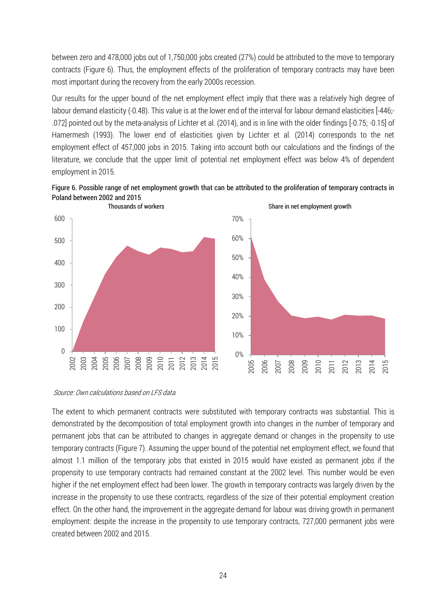between zero and 478,000 jobs out of 1,750,000 jobs created (27%) could be attributed to the move to temporary contracts (Figure 6). Thus, the employment effects of the proliferation of temporary contracts may have been most important during the recovery from the early 2000s recession.

Our results for the upper bound of the net employment effect imply that there was a relatively high degree of labour demand elasticity (-0.48). This value is at the lower end of the interval for labour demand elasticities [-446;- .072] pointed out by the meta-analysis of Lichter et al. (2014), and is in line with the older findings [-0.75; -0.15] of Hamermesh (1993). The lower end of elasticities given by Lichter et al. (2014) corresponds to the net employment effect of 457,000 jobs in 2015. Taking into account both our calculations and the findings of the literature, we conclude that the upper limit of potential net employment effect was below 4% of dependent employment in 2015.





Source: Own calculations based on LFS data.

The extent to which permanent contracts were substituted with temporary contracts was substantial. This is demonstrated by the decomposition of total employment growth into changes in the number of temporary and permanent jobs that can be attributed to changes in aggregate demand or changes in the propensity to use temporary contracts (Figure 7). Assuming the upper bound of the potential net employment effect, we found that almost 1.1 million of the temporary jobs that existed in 2015 would have existed as permanent jobs if the propensity to use temporary contracts had remained constant at the 2002 level. This number would be even higher if the net employment effect had been lower. The growth in temporary contracts was largely driven by the increase in the propensity to use these contracts, regardless of the size of their potential employment creation effect. On the other hand, the improvement in the aggregate demand for labour was driving growth in permanent employment: despite the increase in the propensity to use temporary contracts, 727,000 permanent jobs were created between 2002 and 2015.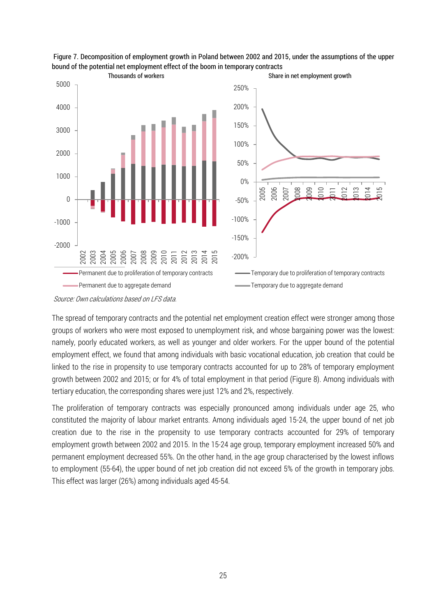

Figure 7. Decomposition of employment growth in Poland between 2002 and 2015, under the assumptions of the upper bound of the potential net employment effect of the boom in temporary contracts

The spread of temporary contracts and the potential net employment creation effect were stronger among those groups of workers who were most exposed to unemployment risk, and whose bargaining power was the lowest: namely, poorly educated workers, as well as younger and older workers. For the upper bound of the potential employment effect, we found that among individuals with basic vocational education, job creation that could be linked to the rise in propensity to use temporary contracts accounted for up to 28% of temporary employment growth between 2002 and 2015; or for 4% of total employment in that period (Figure 8). Among individuals with tertiary education, the corresponding shares were just 12% and 2%, respectively.

The proliferation of temporary contracts was especially pronounced among individuals under age 25, who constituted the majority of labour market entrants. Among individuals aged 15-24, the upper bound of net job creation due to the rise in the propensity to use temporary contracts accounted for 29% of temporary employment growth between 2002 and 2015. In the 15-24 age group, temporary employment increased 50% and permanent employment decreased 55%. On the other hand, in the age group characterised by the lowest inflows to employment (55-64), the upper bound of net job creation did not exceed 5% of the growth in temporary jobs. This effect was larger (26%) among individuals aged 45-54.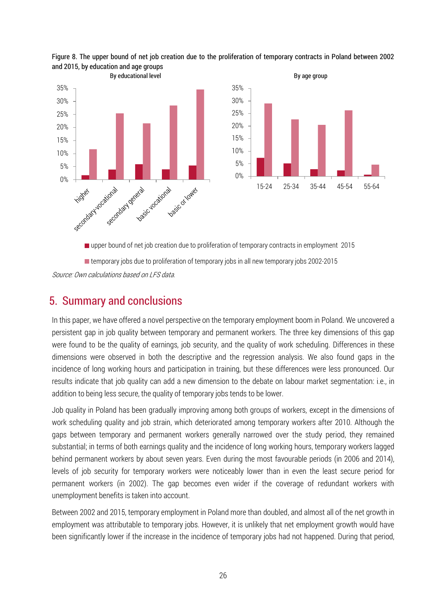



■ temporary jobs due to proliferation of temporary jobs in all new temporary jobs 2002-2015

Source: Own calculations based on LFS data.

## 5. Summary and conclusions

In this paper, we have offered a novel perspective on the temporary employment boom in Poland. We uncovered a persistent gap in job quality between temporary and permanent workers. The three key dimensions of this gap were found to be the quality of earnings, job security, and the quality of work scheduling. Differences in these dimensions were observed in both the descriptive and the regression analysis. We also found gaps in the incidence of long working hours and participation in training, but these differences were less pronounced. Our results indicate that job quality can add a new dimension to the debate on labour market segmentation: i.e., in addition to being less secure, the quality of temporary jobs tends to be lower.

Job quality in Poland has been gradually improving among both groups of workers, except in the dimensions of work scheduling quality and job strain, which deteriorated among temporary workers after 2010. Although the gaps between temporary and permanent workers generally narrowed over the study period, they remained substantial; in terms of both earnings quality and the incidence of long working hours, temporary workers lagged behind permanent workers by about seven years. Even during the most favourable periods (in 2006 and 2014), levels of job security for temporary workers were noticeably lower than in even the least secure period for permanent workers (in 2002). The gap becomes even wider if the coverage of redundant workers with unemployment benefits is taken into account.

Between 2002 and 2015, temporary employment in Poland more than doubled, and almost all of the net growth in employment was attributable to temporary jobs. However, it is unlikely that net employment growth would have been significantly lower if the increase in the incidence of temporary jobs had not happened. During that period,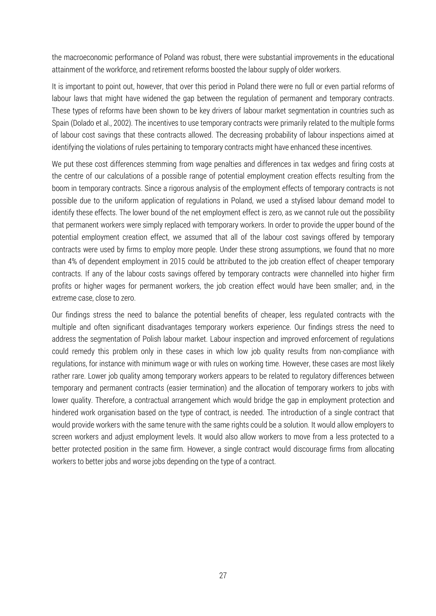the macroeconomic performance of Poland was robust, there were substantial improvements in the educational attainment of the workforce, and retirement reforms boosted the labour supply of older workers.

It is important to point out, however, that over this period in Poland there were no full or even partial reforms of labour laws that might have widened the gap between the regulation of permanent and temporary contracts. These types of reforms have been shown to be key drivers of labour market segmentation in countries such as Spain (Dolado et al., 2002). The incentives to use temporary contracts were primarily related to the multiple forms of labour cost savings that these contracts allowed. The decreasing probability of labour inspections aimed at identifying the violations of rules pertaining to temporary contracts might have enhanced these incentives.

We put these cost differences stemming from wage penalties and differences in tax wedges and firing costs at the centre of our calculations of a possible range of potential employment creation effects resulting from the boom in temporary contracts. Since a rigorous analysis of the employment effects of temporary contracts is not possible due to the uniform application of regulations in Poland, we used a stylised labour demand model to identify these effects. The lower bound of the net employment effect is zero, as we cannot rule out the possibility that permanent workers were simply replaced with temporary workers. In order to provide the upper bound of the potential employment creation effect, we assumed that all of the labour cost savings offered by temporary contracts were used by firms to employ more people. Under these strong assumptions, we found that no more than 4% of dependent employment in 2015 could be attributed to the job creation effect of cheaper temporary contracts. If any of the labour costs savings offered by temporary contracts were channelled into higher firm profits or higher wages for permanent workers, the job creation effect would have been smaller; and, in the extreme case, close to zero.

Our findings stress the need to balance the potential benefits of cheaper, less regulated contracts with the multiple and often significant disadvantages temporary workers experience. Our findings stress the need to address the segmentation of Polish labour market. Labour inspection and improved enforcement of regulations could remedy this problem only in these cases in which low job quality results from non-compliance with regulations, for instance with minimum wage or with rules on working time. However, these cases are most likely rather rare. Lower job quality among temporary workers appears to be related to regulatory differences between temporary and permanent contracts (easier termination) and the allocation of temporary workers to jobs with lower quality. Therefore, a contractual arrangement which would bridge the gap in employment protection and hindered work organisation based on the type of contract, is needed. The introduction of a single contract that would provide workers with the same tenure with the same rights could be a solution. It would allow employers to screen workers and adjust employment levels. It would also allow workers to move from a less protected to a better protected position in the same firm. However, a single contract would discourage firms from allocating workers to better jobs and worse jobs depending on the type of a contract.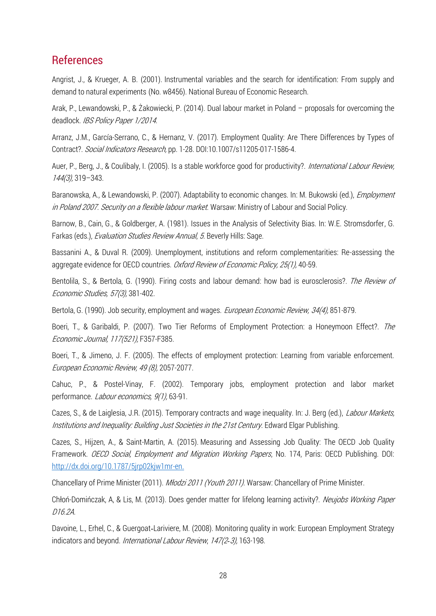## References

Angrist, J., & Krueger, A. B. (2001). Instrumental variables and the search for identification: From supply and demand to natural experiments (No. w8456). National Bureau of Economic Research.

Arak, P., Lewandowski, P., & Żakowiecki, P. (2014). Dual labour market in Poland – proposals for overcoming the deadlock. IBS Policy Paper 1/2014.

Arranz, J.M., García-Serrano, C., & Hernanz, V. (2017). Employment Quality: Are There Differences by Types of Contract?. Social Indicators Research, pp. 1-28. DOI:10.1007/s11205-017-1586-4.

Auer, P., Berg, J., & Coulibaly, I. (2005). Is a stable workforce good for productivity?. International Labour Review, 144(3), 319–343.

Baranowska, A., & Lewandowski, P. (2007). Adaptability to economic changes. In: M. Bukowski (ed.), *Employment* in Poland 2007. Security on a flexible labour market. Warsaw: Ministry of Labour and Social Policy.

Barnow, B., Cain, G., & Goldberger, A. (1981). Issues in the Analysis of Selectivity Bias. In: W.E. Stromsdorfer, G. Farkas (eds.), Evaluation Studies Review Annual, 5. Beverly Hills: Sage.

Bassanini A., & Duval R. (2009). Unemployment, institutions and reform complementarities: Re-assessing the aggregate evidence for OECD countries. Oxford Review of Economic Policy, 25(1), 40-59.

Bentolila, S., & Bertola, G. (1990). Firing costs and labour demand: how bad is eurosclerosis?. The Review of Economic Studies, 57(3), 381-402.

Bertola, G. (1990). Job security, employment and wages. European Economic Review, 34(4), 851-879.

Boeri, T., & Garibaldi, P. (2007). Two Tier Reforms of Employment Protection: a Honeymoon Effect?. The Economic Journal, 117(521), F357-F385.

Boeri, T., & Jimeno, J. F. (2005). The effects of employment protection: Learning from variable enforcement. European Economic Review, 49 (8), 2057-2077.

Cahuc, P., & Postel-Vinay, F. (2002). Temporary jobs, employment protection and labor market performance. *Labour economics, 9(1)*, 63-91.

Cazes, S., & de Laiglesia, J.R. (2015). Temporary contracts and wage inequality. In: J. Berg (ed.), *Labour Markets*, Institutions and Inequality: Building Just Societies in the 21st Century. Edward Elgar Publishing.

Cazes, S., Hijzen, A., & Saint-Martin, A. (2015). Measuring and Assessing Job Quality: The OECD Job Quality Framework. *OECD Social, Employment and Migration Working Papers*, No. 174, Paris: OECD Publishing. DOI: [http://dx.doi.org/10.1787/5jrp02kjw1mr-en.](http://dx.doi.org/10.1787/5jrp02kjw1mr-en)

Chancellary of Prime Minister (2011). Młodzi 2011 (Youth 2011). Warsaw: Chancellary of Prime Minister.

Chłoń-Domińczak, A, & Lis, M. (2013). Does gender matter for lifelong learning activity?. Neujobs Working Paper D16.2A.

Davoine, L., Erhel, C., & Guergoat-Lariviere, M. (2008). Monitoring quality in work: European Employment Strategy indicators and beyond. International Labour Review, 147(2*‐*3), 163-198.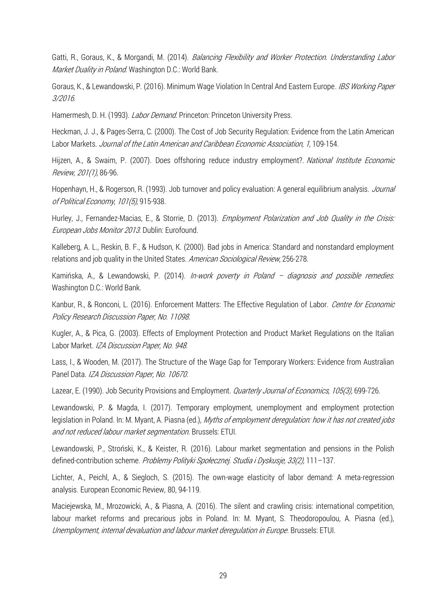Gatti, R., Goraus, K., & Morgandi, M. (2014). *Balancing Flexibility and Worker Protection. Understanding Labor* Market Duality in Poland. Washington D.C.: World Bank.

Goraus, K., & Lewandowski, P. (2016). Minimum Wage Violation In Central And Eastern Europe. IBS Working Paper 3/2016.

Hamermesh, D. H. (1993). *Labor Demand*. Princeton: Princeton University Press.

Heckman, J. J., & Pages-Serra, C. (2000). The Cost of Job Security Regulation: Evidence from the Latin American Labor Markets. Journal of the Latin American and Caribbean Economic Association, 1, 109-154.

Hijzen, A., & Swaim, P. (2007). Does offshoring reduce industry employment?. National Institute Economic Review, 201(1), 86-96.

Hopenhayn, H., & Rogerson, R. (1993). Job turnover and policy evaluation: A general equilibrium analysis. *Journal* of Political Economy, 101(5), 915-938.

Hurley, J., Fernandez-Macias, E., & Storrie, D. (2013). *Employment Polarization and Job Quality in the Crisis:* European Jobs Monitor 2013. Dublin: Eurofound.

Kalleberg, A. L., Reskin, B. F., & Hudson, K. (2000). Bad jobs in America: Standard and nonstandard employment relations and job quality in the United States. American Sociological Review, 256-278.

Kamińska, A., & Lewandowski, P. (2014). *In-work poverty in Poland - diagnosis and possible remedies.* Washington D.C.: World Bank.

Kanbur, R., & Ronconi, L. (2016). Enforcement Matters: The Effective Regulation of Labor. Centre for Economic Policy Research Discussion Paper, No. 11098.

Kugler, A., & Pica, G. (2003). Effects of Employment Protection and Product Market Regulations on the Italian Labor Market. IZA Discussion Paper, No. 948.

Lass, I., & Wooden, M. (2017). The Structure of the Wage Gap for Temporary Workers: Evidence from Australian Panel Data. IZA Discussion Paper, No. 10670.

Lazear, E. (1990). Job Security Provisions and Employment. *Quarterly Journal of Economics, 105(3)*, 699-726.

Lewandowski, P. & Magda, I. (2017). Temporary employment, unemployment and employment protection legislation in Poland. In: M. Myant, A. Piasna (ed.), Myths of employment deregulation: how it has not created jobs and not reduced labour market segmentation. Brussels: ETUI.

Lewandowski, P., Stroński, K., & Keister, R. (2016). Labour market segmentation and pensions in the Polish defined-contribution scheme. Problemy Polityki Społecznej. Studia i Dyskusje, 33(2), 111–137.

Lichter, A., Peichl, A., & Siegloch, S. (2015). The own-wage elasticity of labor demand: A meta-regression analysis. European Economic Review, 80, 94-119.

Maciejewska, M., Mrozowicki, A., & Piasna, A. (2016). The silent and crawling crisis: international competition, labour market reforms and precarious jobs in Poland. In: M. Myant, S. Theodoropoulou, A. Piasna (ed.), Unemployment, internal devaluation and labour market deregulation in Europe. Brussels: ETUI.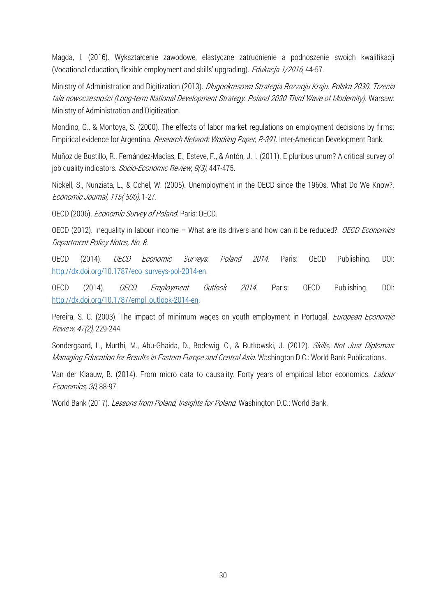Magda, I. (2016). Wykształcenie zawodowe, elastyczne zatrudnienie a podnoszenie swoich kwalifikacji (Vocational education, flexible employment and skills' upgrading). *Edukacja 1/2016*, 44-57.

Ministry of Administration and Digitization (2013). *Długookresowa Strategia Rozwoju Kraju. Polska 2030. Trzecia* fala nowoczesności (Long-term National Development Strategy. Poland 2030 Third Wave of Modernity). Warsaw: Ministry of Administration and Digitization.

Mondino, G., & Montoya, S. (2000). The effects of labor market regulations on employment decisions by firms: Empirical evidence for Argentina. Research Network Working Paper, R-391. Inter-American Development Bank.

Muñoz de Bustillo, R., Fernández-Macías, E., Esteve, F., & Antón, J. I. (2011). E pluribus unum? A critical survey of job quality indicators. Socio-Economic Review, 9(3), 447-475.

Nickell, S., Nunziata, L., & Ochel, W. (2005). Unemployment in the OECD since the 1960s. What Do We Know?. Economic Journal, 115( 500), 1-27.

OECD (2006). Economic Survey of Poland. Paris: OECD.

OECD (2012). Inequality in labour income – What are its drivers and how can it be reduced?. *OECD Economics* Department Policy Notes, No. 8.

OECD (2014). *OECD Economic Surveys: Poland 2014*. Paris: OECD Publishing. DOI: [http://dx.doi.org/10.1787/eco\\_surveys-pol-2014-en.](http://dx.doi.org/10.1787/eco_surveys-pol-2014-en)

OECD (2014). OECD Employment Outlook 2014. Paris: OECD Publishing. DOI: [http://dx.doi.org/10.1787/empl\\_outlook-2014-en.](http://dx.doi.org/10.1787/empl_outlook-2014-en)

Pereira, S. C. (2003). The impact of minimum wages on youth employment in Portugal. *European Economic* Review, 47(2), 229-244.

Sondergaard, L., Murthi, M., Abu-Ghaida, D., Bodewig, C., & Rutkowski, J. (2012). Skills, Not Just Diplomas: Managing Education for Results in Eastern Europe and Central Asia. Washington D.C.: World Bank Publications.

Van der Klaauw, B. (2014). From micro data to causality: Forty years of empirical labor economics. Labour Economics, 30, 88-97.

World Bank (2017). Lessons from Poland, Insights for Poland. Washington D.C.: World Bank.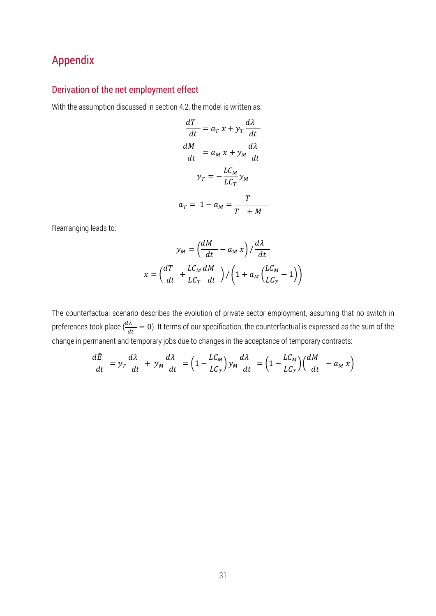# Appendix

#### Derivation of the net employment effect

With the assumption discussed in section 4.2, the model is written as:

$$
\frac{dT}{dt} = a_T x + y_T \frac{d\lambda}{dt}
$$

$$
\frac{dM}{dt} = a_M x + y_M \frac{d\lambda}{dt}
$$

$$
y_T = -\frac{LC_M}{LC_T} y_M
$$

$$
a_T = 1 - a_M = \frac{T}{T + M}
$$

Rearranging leads to:

$$
y_M = \left(\frac{dM}{dt} - a_M x\right) / \frac{d\lambda}{dt}
$$

$$
x = \left(\frac{dT}{dt} + \frac{LC_M}{LC_T}\frac{dM}{dt}\right) / \left(1 + a_M\left(\frac{LC_M}{LC_T} - 1\right)\right)
$$

The counterfactual scenario describes the evolution of private sector employment, assuming that no switch in preferences took place ( $\frac{d\lambda}{dt} = 0$ ). It terms of our specification, the counterfactual is expressed as the sum of the change in permanent and temporary jobs due to changes in the acceptance of temporary contracts:

$$
\frac{d\hat{E}}{dt} = y_T \frac{d\lambda}{dt} + y_M \frac{d\lambda}{dt} = \left(1 - \frac{LC_M}{LC_T}\right) y_M \frac{d\lambda}{dt} = \left(1 - \frac{LC_M}{LC_T}\right) \left(\frac{dM}{dt} - a_M x\right)
$$